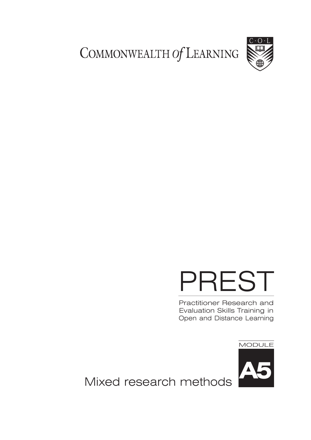COMMONWEALTH Of LEARNING



# PREST

Practitioner Research and Evaluation Skills Training in Open and Distance Learning

MODULE



Mixed research methods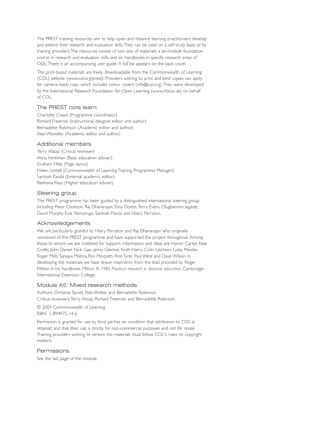The PREST training resources aim to help open and distance learning practitioners develop and extend their research and evaluation skills.They can be used on a self-study basis or by training providers.The resources consist of two sets of materials: a six-module foundation course in research and evaluation skills and six handbooks in specific research areas of ODL.There is an accompanying user guide. A full list appears on the back cover.

The print-based materials are freely downloadable from the Commonwealth of Learning (COL) website (www.col.org/prest). Providers wishing to print and bind copies can apply for camera-ready copy which includes colour covers (info@col.org).They were developed by the International Research Foundation for Open Learning (www.irfol.ac.uk) on behalf of COL.

#### The PREST core team

Charlotte Creed (Programme coordinator) Richard Freeman (Instructional designer, editor and author) Bernadette Robinson (Academic editor and author) Alan Woodley (Academic editor and author)

#### Additional members

Terry Allsop (Critical reviewer) Alicia Fentiman (Basic education adviser) Graham Hiles (Page layout) Helen Lentell (Commonwealth of Learning Training Programme Manager) Santosh Panda (External academic editor) Reehana Raza (Higher education adviser)

#### Steering group

The PREST programme has been guided by a distinguished international steering group including: Peter Cookson, Raj Dhanarajan,Tony Dodds,Terry Evans, Olugbemiro Jegede, David Murphy, Evie Nonyongo, Santosh Panda and Hilary Perraton.

#### Acknowledgements

We are particularly grateful to Hilary Perraton and Raj Dhanarajan who originally conceived of the PREST programme and have supported the project throughout. Among those to whom we are indebted for support, information and ideas are Honor Carter, Kate Crofts, John Daniel, Nick Gao, Jenny Glennie, Keith Harry, Colin Latchem, Lydia Meister, Roger Mills, Sanjaya Mishra, Ros Morpeth, Rod Tyrer, Paul West and Dave Wilson. In developing the materials, we have drawn inspiration from the lead provided by Roger Mitton in his handbook, Mitton, R. 1982 *Practical research in distance education*, Cambridge: International Extension College.

#### Module A5: Mixed research methods

Authors: Christine Spratt, Rob Walker and Bernadette Robinson. Critical reviewers:Terry Allsop, Richard Freeman and Bernadette Robinson.

© 2004 Commonwealth of Learning ISBN 1-894975-14-6

Permission is granted for use by third parties on condition that attribution to COL is retained and that their use is strictly for non-commercial purposes and not for resale. Training providers wishing to version the materials must follow COL's rules on copyright matters.

#### Permissions

See the last page of the module.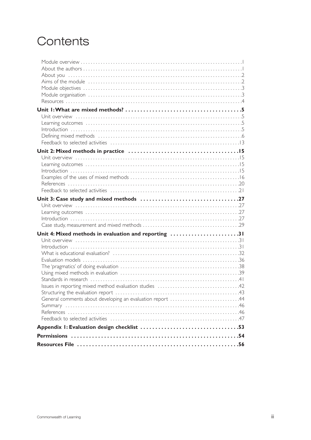# Contents

| Unit 4: Mixed methods in evaluation and reporting 31      |  |
|-----------------------------------------------------------|--|
|                                                           |  |
|                                                           |  |
|                                                           |  |
|                                                           |  |
|                                                           |  |
|                                                           |  |
|                                                           |  |
|                                                           |  |
| General comments about developing an evaluation report 44 |  |
|                                                           |  |
|                                                           |  |
|                                                           |  |
|                                                           |  |
|                                                           |  |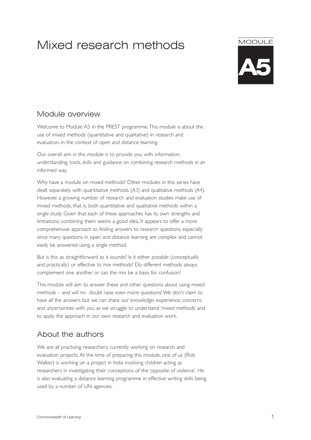# Mixed research methods

# **MODULE**



# Module overview

Welcome to Module A5 in the PREST programme.This module is about the use of mixed methods (quantitative and qualitative) in research and evaluation, in the context of open and distance learning.

Our overall aim in this module is to provide you with information, understanding, tools, skills and guidance on combining research methods in an informed way.

Why have a module on mixed methods? Other modules in this series have dealt separately with quantitative methods (*A3*) and qualitative methods (*A4*). However, a growing number of research and evaluation studies make use of mixed methods, that is, both quantitative and qualitative methods within a single study. Given that each of these approaches has its own strengths and limitations, combining them seems a good idea. It appears to offer a more comprehensive approach to finding answers to research questions, especially since many questions in open and distance learning are complex and cannot easily be answered using a single method.

But is this as straightforward as it sounds? Is it either possible (conceptually and practically) or effective to mix methods? Do different methods always complement one another or can the mix be a basis for confusion?

This module will aim to answer these and other questions about using mixed methods – and will no doubt raise even more questions! We don't claim to have all the answers but we can share our knowledge, experience, concerns and uncertainties with you as we struggle to understand 'mixed methods' and to apply the approach in our own research and evaluation work.

# About the authors

We are all practising researchers, currently working on research and evaluation projects. At the time of preparing this module, one of us (Rob Walker) is working on a project in India involving children acting as researchers in investigating their conceptions of the 'opposite of violence'. He is also evaluating a distance learning programme in effective writing skills being used by a number of UN agencies.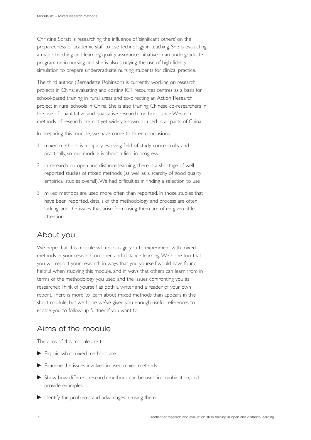Christine Spratt is researching the influence of 'significant others' on the preparedness of academic staff to use technology in teaching. She is evaluating a major teaching and learning quality assurance initiative in an undergraduate programme in nursing and she is also studying the use of high fidelity simulation to prepare undergraduate nursing students for clinical practice.

The third author (Bernadette Robinson) is currently working on research projects in China: evaluating and costing ICT resources centres as a basis for school-based training in rural areas and co-directing an Action Research project in rural schools in China. She is also training Chinese co-researchers in the use of quantitative and qualitative research methods, since Western methods of research are not yet widely known or used in all parts of China.

In preparing this module, we have come to three conclusions:

- 1 mixed methods is a rapidly evolving field of study, conceptually and practically, so our module is about a field in progress
- 2 in research on open and distance learning, there is a shortage of wellreported studies of mixed methods (as well as a scarcity of good quality empirical studies overall).We had difficulties in finding a selection to use
- 3 mixed methods are used more often than reported. In those studies that have been reported, details of the methodology and process are often lacking, and the issues that arise from using them are often given little attention.

# About you

We hope that this module will encourage you to experiment with mixed methods in your research on open and distance learning.We hope too that you will report your research in ways that you yourself would have found helpful when studying this module, and in ways that others can learn from in terms of the methodology you used and the issues confronting you as researcher.Think of yourself as both a writer and a reader of your own report.There is more to learn about mixed methods than appears in this short module, but we hope we've given you enough useful references to enable you to follow up further if you want to.

# Aims of the module

The aims of this module are to:

- Explain what mixed methods are.
- Examine the issues involved in used mixed methods.
- Show how different research methods can be used in combination, and provide examples.
- $\blacktriangleright$  Identify the problems and advantages in using them.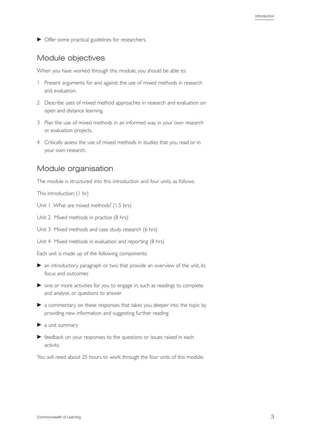▶ Offer some practical guidelines for researchers.

# Module objectives

When you have worked through this module, you should be able to:

- 1 Present arguments for and against the use of mixed methods in research and evaluation.
- 2 Describe uses of mixed method approaches in research and evaluation on open and distance learning.
- 3 Plan the use of mixed methods in an informed way in your own research or evaluation projects.
- 4 Critically assess the use of mixed methods in studies that you read or in your own research.

# Module organisation

The module is structured into this introduction and four units, as follows.

This introduction: (1 hr)

- Unit 1 What are mixed methods? (1.5 hrs)
- Unit 2 Mixed methods in practice (8 hrs)
- Unit 3 Mixed methods and case study research (6 hrs)
- Unit 4 Mixed methods in evaluation and reporting (8 hrs)

Each unit is made up of the following components:

- an introductory paragraph or two that provide an overview of the unit, its focus and outcomes
- ▶ one or more activities for you to engage in, such as readings to complete and analyse, or questions to answer
- a commentary on these responses that takes you deeper into the topic by providing new information and suggesting further reading
- $\blacktriangleright$  a unit summary
- **F** feedback on your responses to the questions or issues raised in each activity.

You will need about 25 hours to work through the four units of this module.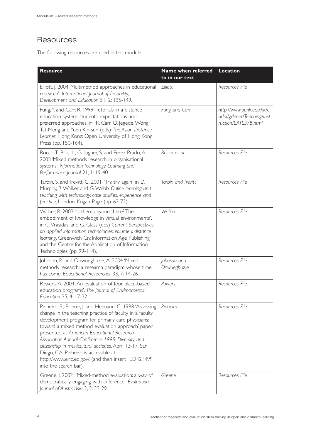# **Resources**

The following resources are used in this module:

| <b>Resource</b>                                                                                                                                                                                                                                                                                                                                                                                                                                                                                                  | Name when referred<br>to in our text | <b>Location</b>                                                                |
|------------------------------------------------------------------------------------------------------------------------------------------------------------------------------------------------------------------------------------------------------------------------------------------------------------------------------------------------------------------------------------------------------------------------------------------------------------------------------------------------------------------|--------------------------------------|--------------------------------------------------------------------------------|
| Elliott, J. 2004 'Multimethod approaches in educational<br>research' International Journal of Disability,<br>Development and Education 51, 2: 135-149.                                                                                                                                                                                                                                                                                                                                                           | Elliott                              | Resources File                                                                 |
| Fung, Y. and Carr, R. 1999 'Tutorials in a distance<br>education system: students' expectations and<br>preferred approaches' in R. Carr, O. Jegede, Wong<br>Tat-Meng and Yuen Kin-sun (eds) The Asian Distance<br>Learner, Hong Kong: Open University of Hong Kong<br>Press (pp. 150-164).                                                                                                                                                                                                                       | Fung and Carr                        | http://www.ouhk.edu.hk/c<br>ridal/gdenet/Teaching/Inst<br>ruction/EATL37B.html |
| Rocco, T., Bliss, L., Gallagher, S. and Perez-Prado, A.<br>2003 'Mixed methods research in organisational<br>systems', Information Technology, Learning and<br>Performance Journal 21, 1: 19-40.                                                                                                                                                                                                                                                                                                                 | Rocco et al                          | Resources File                                                                 |
| Tarbin, S. and Trevitt, C. 2001 'Try, try again' in D.<br>Murphy, R. Walker and G. Webb. Online learning and<br>teaching with technology: case studies, experience and<br>practice, London: Kogan Page (pp. 63-72).                                                                                                                                                                                                                                                                                              | Tarbin and Trevitt                   | Resources File                                                                 |
| Walker, R. 2003 'Is there anyone there? The<br>embodiment of knowledge in virtual environments',<br>in C. Vrasidas, and G. Glass (eds) Current perspectives<br>on applied information technologies. Volume I: distance<br>learning, Greenwich Cn: Information Age Publishing<br>and the Centre for the Application of Information<br>Technologies (pp. 99-114).                                                                                                                                                  | Walker                               | Resources File                                                                 |
| Johnson, R. and Onwuegbuzie, A. 2004 'Mixed<br>methods research: a research paradigm whose time<br>has come' Educational Researcher 33, 7: 14-26.                                                                                                                                                                                                                                                                                                                                                                | Johnson and<br>Onwuegbuzie           | Resources File                                                                 |
| Powers, A. 2004 'An evaluation of four place-based<br>education programs', The Journal of Environmental<br>Education 35, 4: 17-32.                                                                                                                                                                                                                                                                                                                                                                               | Powers                               | Resources File                                                                 |
| Pinheiro, S., Rohrer, J. and Heimann, C. 1998 'Assessing<br>change in the teaching practice of faculty in a faculty<br>development program for primary care physicians:<br>toward a mixed method evaluation approach' paper<br>presented at American Educational Research<br>Association Annual Conference 1998, Diversity and<br>citizenship in multicultural societies, April 13-17, San<br>Diego, CA. Pinheiro is accessible at<br>http://www.eric.ed.gov/ (and then insert ED421499<br>into the search bar). | Pinheiro                             | Resources File                                                                 |
| Greene, J. 2002 'Mixed-method evaluation: a way of<br>democratically engaging with difference', Evaluation<br>Journal of Australasia 2, 2: 23-29.                                                                                                                                                                                                                                                                                                                                                                | Greene                               | Resources File                                                                 |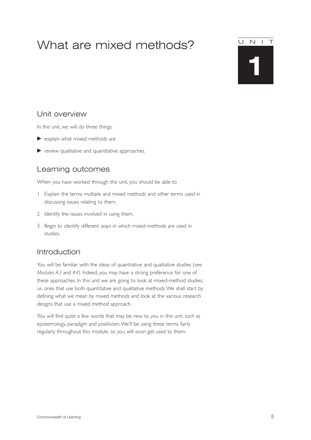# What are mixed methods?

# **1** UNIT

# Unit overview

In this unit, we will do three things:

- explain what mixed methods are
- $\blacktriangleright$  review qualitative and quantitative approaches.

# Learning outcomes

When you have worked through this unit, you should be able to

- 1 Explain the terms multiple and mixed methods and other terms used in discussing issues relating to them.
- 2 Identify the issues involved in using them.
- 3 Begin to identify different ways in which mixed methods are used in studies.

# Introduction

You will be familiar with the ideas of quantitative and qualitative studies (see *Modules A3* and *A4*). Indeed, you may have a strong preference for one of these approaches. In this unit we are going to look at mixed-method studies, i.e. ones that use both quantitative and qualitative methods.We shall start by defining what we mean by mixed methods and look at the various research designs that use a mixed method approach.

You will find quite a few words that may be new to you in this unit, such as epistemology, paradigm and positivism.We'll be using these terms fairly regularly throughout this module, so you will soon get used to them.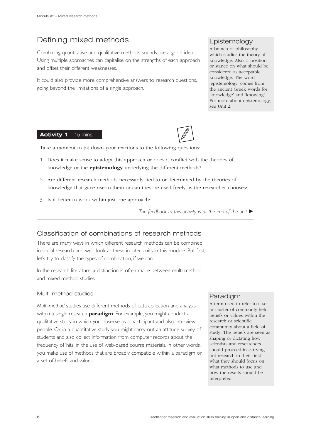# Defining mixed methods

Combining quantitative and qualitative methods sounds like a good idea. Using multiple approaches can capitalise on the strengths of each approach and offset their different weaknesses.

It could also provide more comprehensive answers to research questions, going beyond the limitations of a single approach.

# Epistemology

A branch of philosophy which studies the theory of knowledge. Also, a position or stance on what should be considered as acceptable knowledge. The word 'epistemology' comes from the ancient Greek words for 'knowledge' and 'knowing'. For more about epistemology, see Unit 2.

#### **Activity 1** 15 mins

Take a moment to jot down your reactions to the following questions:

- 1 Does it make sense to adopt this approach or does it conflict with the theories of knowledge or the **epistemology** underlying the different methods?
- 2 Are different research methods necessarily tied to or determined by the theories of knowledge that gave rise to them or can they be used freely as the researcher chooses?
- 3 Is it better to work within just one approach?

The feedback to this activity is at the end of the unit  $\blacktriangleright$ 

# Classification of combinations of research methods

There are many ways in which different research methods can be combined in social research and we'll look at these in later units in this module. But first, let's try to classify the types of combination, if we can.

In the research literature, a distinction is often made between multi-method and mixed method studies.

#### Multi-method studies

*Multi-method* studies use different methods of data collection and analysis within a single research **paradigm**. For example, you might conduct a qualitative study in which you observe as a participant and also interview people. Or in a quantitative study you might carry out an attitude survey of students and also collect information from computer records about the frequency of 'hits' in the use of web-based course materials. In other words, you make use of methods that are broadly compatible within a paradigm or a set of beliefs and values.

# Paradigm

A term used to refer to a set or cluster of commonly-held beliefs or values within the research or scientific community about a field of study. The beliefs are seen as shaping or dictating how scientists and researchers should proceed in carrying out research in their field what they should focus on, what methods to use and how the results should be interpreted.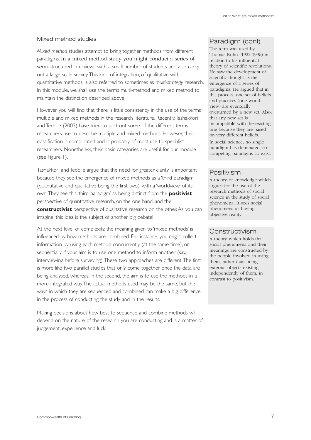#### Mixed method studies

*Mixed method* studies attempt to bring together methods from different paradigms. In a mixed method study you might conduct a series of semi-structured interviews with a small number of students and also carry out a large-scale survey.This kind of integration, of qualitative with quantitative methods, is also referred to sometimes as *multi-strategy* research. In this module, we shall use the terms multi-method and mixed method to maintain the distinction described above.

However, you will find that there is little consistency in the use of the terms multiple and mixed methods in the research literature. Recently,Tashakkori and Teddlie (2003) have tried to sort out some of the different terms researchers use to describe multiple and mixed methods. However, their classification is complicated and is probably of most use to specialist researchers. Nonetheless, their basic categories are useful for our module (see Figure 1).

Tashakkori and Teddlie argue that the need for greater clarity is important because they see the emergence of mixed methods as a 'third paradigm' (quantitative and qualitative being the first two), with a 'worldview' of its own.They see this 'third paradigm' as being distinct from the **positivist** perspective of quantitative research, on the one hand, and the **constructivist** perspective of qualitative research on the other. As you can imagine, this idea is the subject of another big debate!

At the next level of complexity, the meaning given to 'mixed methods' is influenced by how methods are combined. For instance, you might collect information by using each method concurrently (at the same time), or sequentially if your aim is to use one method to inform another (say, interviewing before surveying).These two approaches are different.The first is more like two parallel studies that only come together once the data are being analysed, whereas, in the second, the aim is to use the methods in a more integrated way.The actual methods used may be the same, but the ways in which they are sequenced and combined can make a big difference in the process of conducting the study and in the results.

Making decisions about how best to sequence and combine methods will depend on the nature of the research you are conducting and is a matter of judgement, experience and luck!

## Paradigm (cont)

The term was used by Thomas Kuhn (1922-1996) in relation to his influential theory of scientific revolutions. He saw the development of scientific thought as the emergence of a series of paradigms. He argued that in this process, one set of beliefs and practices (one world view) are eventually overturned by a new set. Also, that any new set is incompatible with the existing one because they are based on very different beliefs. In social science, no single paradigm has dominated, so competing paradigms co-exist.

## Positivism

A theory of knowledge which argues for the use of the research methods of social science in the study of social phenomena. It sees social phenomena as having objective reality.

## Constructivism

A theory which holds that social phenomena and their meanings are constructed by the people involved in using them, rather than being external objects existing independently of them, in contrast to positivism.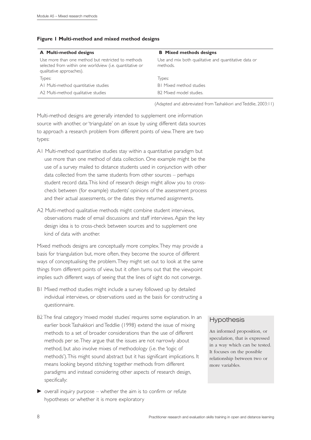#### **Figure 1 Multi-method and mixed method designs**

| A Multi-method designs                                                                                                                     | <b>B</b> Mixed methods designs                                    |
|--------------------------------------------------------------------------------------------------------------------------------------------|-------------------------------------------------------------------|
| Use more than one method but restricted to methods<br>selected from within one worldview (i.e. quantitative or<br>qualitative approaches). | Use and mix both qualitative and quantitative data or<br>methods. |
| Types:                                                                                                                                     | Types:                                                            |
| AI Multi-method quantitative studies                                                                                                       | <b>BI</b> Mixed method studies                                    |
| A2 Multi-method qualitative studies                                                                                                        | B <sub>2</sub> Mixed model studies.                               |
|                                                                                                                                            |                                                                   |

(Adapted and abbreviated from Tashakkori and Teddlie, 2003:11)

Multi-method designs are generally intended to supplement one information source with another, or 'triangulate' on an issue by using different data sources to approach a research problem from different points of view.There are two types:

- A1 Multi-method quantitative studies stay within a quantitative paradigm but use more than one method of data collection. One example might be the use of a survey mailed to distance students used in conjunction with other data collected from the same students from other sources – perhaps student record data.This kind of research design might allow you to crosscheck between (for example) students' opinions of the assessment process and their actual assessments, or the dates they returned assignments.
- A2 Multi-method qualitative methods might combine student interviews, observations made of email discussions and staff interviews. Again the key design idea is to cross-check between sources and to supplement one kind of data with another.

Mixed methods designs are conceptually more complex.They may provide a basis for triangulation but, more often, they become the source of different ways of conceptualising the problem.They might set out to look at the same things from different points of view, but it often turns out that the viewpoint implies such different ways of seeing that the lines of sight do not converge.

- B1 Mixed method studies might include a survey followed up by detailed individual interviews, or observations used as the basis for constructing a questionnaire.
- B2 The final category 'mixed model studies' requires some explanation. In an earlier book Tashakkori and Teddlie (1998) extend the issue of mixing methods to a set of broader considerations than the use of different methods per se.They argue that the issues are not narrowly about method, but also involve mixes of methodology (i.e. the 'logic of methods').This might sound abstract but it has significant implications. It means looking beyond stitching together methods from different paradigms and instead considering other aspects of research design, specifically:
- $\triangleright$  overall inquiry purpose whether the aim is to confirm or refute hypotheses or whether it is more exploratory

# **Hypothesis**

An informed proposition, or speculation, that is expressed in a way which can be tested. It focuses on the possible relationship between two or more variables.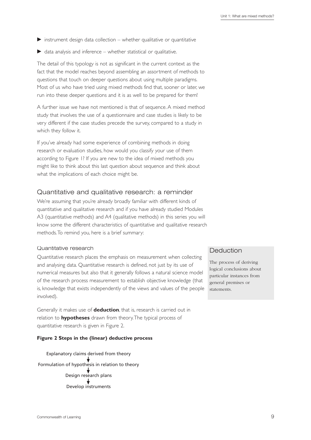- $\triangleright$  instrument design data collection whether qualitative or quantitative
- $\triangleright$  data analysis and inference whether statistical or qualitative.

The detail of this typology is not as significant in the current context as the fact that the model reaches beyond assembling an assortment of methods to questions that touch on deeper questions about using multiple paradigms. Most of us who have tried using mixed methods find that, sooner or later, we run into these deeper questions and it is as well to be prepared for them!

A further issue we have not mentioned is that of sequence. A mixed method study that involves the use of a questionnaire and case studies is likely to be very different if the case studies precede the survey, compared to a study in which they follow it.

If you've already had some experience of combining methods in doing research or evaluation studies, how would you classify your use of them according to Figure 1? If you are new to the idea of mixed methods you might like to think about this last question about sequence and think about what the implications of each choice might be.

#### Quantitative and qualitative research: a reminder

We're assuming that you're already broadly familiar with different kinds of quantitative and qualitative research and if you have already studied Modules A3 (quantitative methods) and A4 (qualitative methods) in this series you will know some the different characteristics of quantitative and qualitative research methods.To remind you, here is a brief summary:

#### Quantitative research

Quantitative research places the emphasis on measurement when collecting and analysing data. Quantitative research is defined, not just by its use of numerical measures but also that it generally follows a natural science model of the research process measurement to establish objective knowledge (that is, knowledge that exists independently of the views and values of the people involved).

Generally it makes use of **deduction**, that is, research is carried out in relation to **hypotheses** drawn from theory.The typical process of quantitative research is given in Figure 2.

#### **Figure 2 Steps in the (linear) deductive process**

Explanatory claims derived from theory Formulation of hypothesis in relation to theory Design research plans Develop instruments

## Deduction

The process of deriving logical conclusions about particular instances from general premises or statements.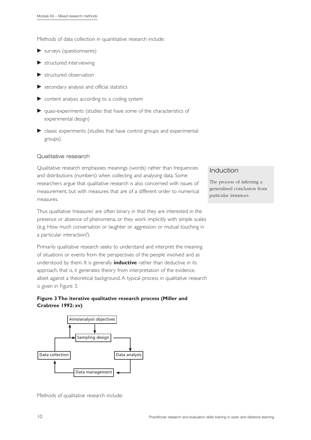Methods of data collection in quantitative research include:

- surveys (questionnaires)
- structured interviewing
- structured observation
- secondary analysis and official statistics
- content analysis according to a coding system
- quasi-experiments (studies that have some of the characteristics of experimental design)
- classic experiments (studies that have control groups and experimental groups).

#### Qualitative research

Qualitative research emphasises meanings (words) rather than frequencies and distributions (numbers) when collecting and analysing data. Some researchers argue that qualitative research is also concerned with issues of measurement, but with measures that are of a different order to numerical measures.

Thus qualitative 'measures' are often binary in that they are interested in the presence or absence of phenomena, or they work implicitly with simple scales (e.g. How much conversation or laughter or aggression or mutual touching in a particular interaction?).

Primarily qualitative research seeks to understand and interpret the meaning of situations or events from the perspectives of the people involved and as understood by them. It is generally **inductive** rather than deductive in its approach, that is, it generates theory from interpretation of the evidence, albeit against a theoretical background. A typical process in qualitative research is given in Figure 3.

#### **Figure 3 The iterative qualitative research process (Miller and Crabtree 1992: xv)**



Methods of qualitative research include:

# Induction

The process of inferring a generalised conclusion from particular instances.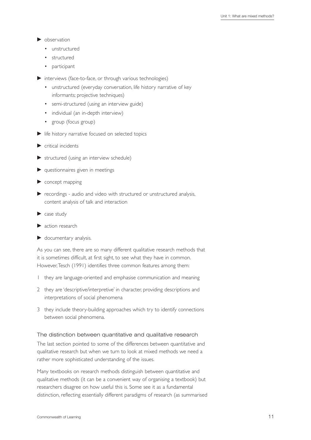- $\blacktriangleright$  observation
	- unstructured
	- structured
	- participant
- interviews (face-to-face, or through various technologies)
	- unstructured (everyday conversation, life history narrative of key informants; projective techniques)
	- semi-structured (using an interview guide)
	- individual (an in-depth interview)
	- group (focus group)
- $\blacktriangleright$  life history narrative focused on selected topics
- $\blacktriangleright$  critical incidents
- $\triangleright$  structured (using an interview schedule)
- $\blacktriangleright$  questionnaires given in meetings
- $\triangleright$  concept mapping
- recordings audio and video with structured or unstructured analysis, content analysis of talk and interaction
- case study
- **action research**
- documentary analysis.

As you can see, there are so many different qualitative research methods that it is sometimes difficult, at first sight, to see what they have in common. However,Tesch (1991) identifies three common features among them:

- 1 they are language-oriented and emphasise communication and meaning
- 2 they are 'descriptive/interpretive' in character, providing descriptions and interpretations of social phenomena
- 3 they include theory-building approaches which try to identify connections between social phenomena.

#### The distinction between quantitative and qualitative research

The last section pointed to some of the differences between quantitative and qualitative research but when we turn to look at mixed methods we need a rather more sophisticated understanding of the issues.

Many textbooks on research methods distinguish between quantitative and qualitative methods (it can be a convenient way of organising a textbook) but researchers disagree on how useful this is. Some see it as a fundamental distinction, reflecting essentially different paradigms of research (as summarised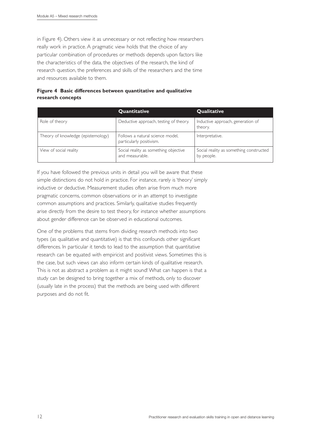in Figure 4). Others view it as unnecessary or not reflecting how researchers really work in practice. A pragmatic view holds that the choice of any particular combination of procedures or methods depends upon factors like the characteristics of the data, the objectives of the research, the kind of research question, the preferences and skills of the researchers and the time and resources available to them.

| Figure 4 Basic differences between quantitative and qualitative |
|-----------------------------------------------------------------|
| research concepts                                               |

|                                    | Quantitative                                                 | <b>Qualitative</b>                                    |
|------------------------------------|--------------------------------------------------------------|-------------------------------------------------------|
| Role of theory                     | Deductive approach, testing of theory.                       | Inductive approach, generation of<br>theory.          |
| Theory of knowledge (epistemology) | Follows a natural science model,<br>particularly positivism. | Interpretative.                                       |
| View of social reality             | Social reality as something objective<br>and measurable.     | Social reality as something constructed<br>by people. |

If you have followed the previous units in detail you will be aware that these simple distinctions do not hold in practice. For instance, rarely is 'theory' simply inductive or deductive. Measurement studies often arise from much more pragmatic concerns, common observations or in an attempt to investigate common assumptions and practices. Similarly, qualitative studies frequently arise directly from the desire to test theory, for instance whether assumptions about gender difference can be observed in educational outcomes.

One of the problems that stems from dividing research methods into two types (as qualitative and quantitative) is that this confounds other significant differences. In particular it tends to lead to the assumption that quantitative research can be equated with empiricist and positivist views. Sometimes this is the case, but such views can also inform certain kinds of qualitative research. This is not as abstract a problem as it might sound! What can happen is that a study can be designed to bring together a mix of methods, only to discover (usually late in the process) that the methods are being used with different purposes and do not fit.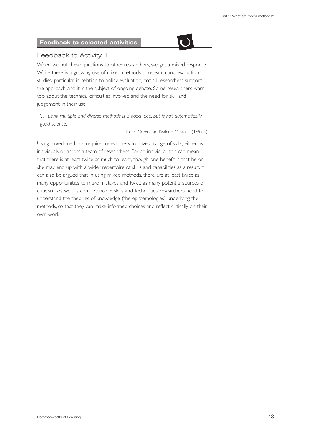

# Feedback to Activity 1

When we put these questions to other researchers, we get a mixed response. While there is a growing use of mixed methods in research and evaluation studies, particular in relation to policy evaluation, not all researchers support the approach and it is the subject of ongoing debate. Some researchers warn too about the technical difficulties involved and the need for skill and judgement in their use:

*'… using multiple and diverse methods is a good idea, but is not automatically good science.'*

Judith Greene and Valerie Caracelli (1997:5)

Using mixed methods requires researchers to have a range of skills, either as individuals or across a team of researchers. For an individual, this can mean that there is at least twice as much to learn, though one benefit is that he or she may end up with a wider repertoire of skills and capabilities as a result. It can also be argued that in using mixed methods, there are at least twice as many opportunities to make mistakes and twice as many potential sources of criticism! As well as competence in skills and techniques, researchers need to understand the theories of knowledge (the epistemologies) underlying the methods, so that they can make informed choices and reflect critically on their own work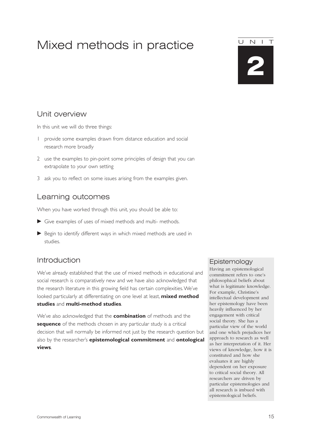# Mixed methods in practice

# Unit overview

In this unit we will do three things:

- 1 provide some examples drawn from distance education and social research more broadly
- 2 use the examples to pin-point some principles of design that you can extrapolate to your own setting
- 3 ask you to reflect on some issues arising from the examples given.

# Learning outcomes

When you have worked through this unit, you should be able to:

- Give examples of uses of mixed methods and multi- methods.
- Begin to identify different ways in which mixed methods are used in studies.

# Introduction

We've already established that the use of mixed methods in educational and social research is comparatively new and we have also acknowledged that the research literature in this growing field has certain complexities.We've looked particularly at differentiating on one level at least, **mixed method studies** and **multi-method studies**.

We've also acknowledged that the **combination** of methods and the **sequence** of the methods chosen in any particular study is a critical decision that will normally be informed not just by the research question but also by the researcher's **epistemological commitment** and **ontological views**.

#### Epistemology

Having an epistemological commitment refers to one's philosophical beliefs about what is legitimate knowledge. For example, Christine's intellectual development and her epistemology have been heavily influenced by her engagement with critical social theory. She has a particular view of the world and one which prejudices her approach to research as well as her interpretation of it. Her views of knowledge, how it is constituted and how she evaluates it are highly dependent on her exposure to critical social theory. All researchers are driven by particular epistemologies and all research is imbued with epistemological beliefs.



**2**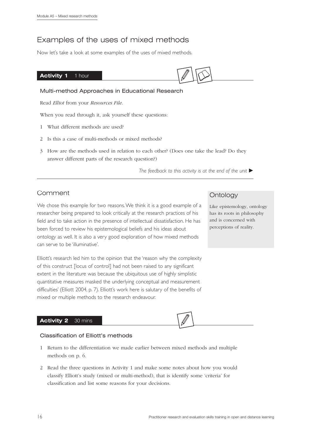# Examples of the uses of mixed methods

Now let's take a look at some examples of the uses of mixed methods.

#### Activity 1 1 hour



#### Multi-method Approaches in Educational Research

Read *Elliot* from your *Resources File*.

When you read through it, ask yourself these questions:

- 1 What different methods are used?
- 2 Is this a case of multi-methods or mixed methods?
- 3 How are the methods used in relation to each other? (Does one take the lead? Do they answer different parts of the research question?)

*The feedback to this activity is at the end of the unit* 

# Comment

We chose this example for two reasons.We think it is a good example of a researcher being prepared to look critically at the research practices of his field and to take action in the presence of intellectual dissatisfaction. He has been forced to review his epistemological beliefs and his ideas about ontology as well. It is also a very good exploration of how mixed methods can serve to be 'illuminative'.

Elliott's research led him to the opinion that the 'reason why the complexity of this construct [locus of control] had not been raised to any significant extent in the literature was because the ubiquitous use of highly simplistic quantitative measures masked the underlying conceptual and measurement difficulties' (Elliott 2004, p. 7). Elliott's work here is salutary of the benefits of mixed or multiple methods to the research endeavour.

#### **Activity 2** 30 mins

#### Classification of Elliott's methods

- 1 Return to the differentiation we made earlier between mixed methods and multiple methods on p. 6.
- 2 Read the three questions in Activity 1 and make some notes about how you would classify Elliott's study (mixed or multi-method), that is identify some 'criteria' for classification and list some reasons for your decisions.

# **Ontology**

Like epistemology, ontology has its roots in philosophy and is concerned with perceptions of reality.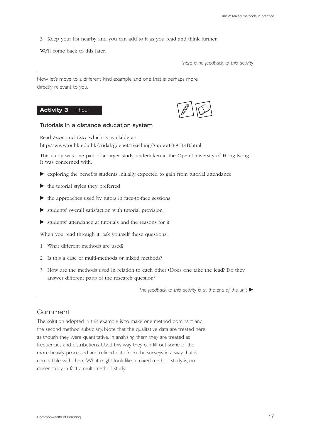3 Keep your list nearby and you can add to it as you read and think further.

We'll come back to this later.

*There is no feedback to this activity*

Now let's move to a different kind example and one that is perhaps more directly relevant to you.

# Activity 3 1 hour

#### Tutorials in a distance education system

Read *Fung* and *Carr* which is available at: http://www.ouhk.edu.hk/cridal/gdenet/Teaching/Support/EATL4B.html

This study was one part of a larger study undertaken at the Open University of Hong Kong. It was concerned with:

- exploring the benefits students initially expected to gain from tutorial attendance
- $\blacktriangleright$  the tutorial styles they preferred
- $\blacktriangleright$  the approaches used by tutors in face-to-face sessions
- $\blacktriangleright$  students' overall satisfaction with tutorial provision
- $\blacktriangleright$  students' attendance at tutorials and the reasons for it.

When you read through it, ask yourself these questions:

- 1 What different methods are used?
- 2 Is this a case of multi-methods or mixed methods?
- 3 How are the methods used in relation to each other (Does one take the lead? Do they answer different parts of the research question?

*The feedback to this activity is at the end of the unit* 

# Comment

The solution adopted in this example is to make one method dominant and the second method subsidiary. Note that the qualitative data are treated here as though they were quantitative. In analysing them they are treated as frequencies and distributions. Used this way they can fill out some of the more heavily processed and refined data from the surveys in a way that is compatible with them.What might look like a mixed method study is, on closer study in fact a multi method study.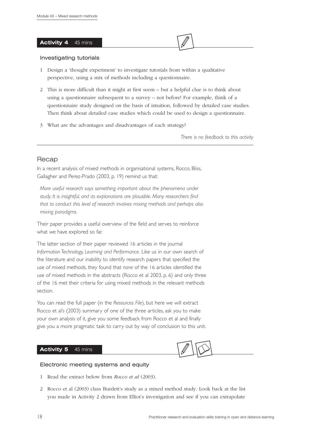#### Activity 4 45 mins



#### Investigating tutorials

- 1 Design a 'thought experiment' to investigate tutorials from within a qualitative perspective, using a mix of methods including a questionnaire.
- 2 This is more difficult than it might at first seem but a helpful clue is to think about using a questionnaire subsequent to a survey – not before! For example, think of a questionnaire study designed on the basis of intuition, followed by detailed case studies. Then think about detailed case studies which could be used to design a questionnaire.
- 3 What are the advantages and disadvantages of each strategy?

*There is no feedback to this activity*

## Recap

In a recent analysis of mixed methods in organisational systems, Rocco, Bliss, Gallagher and Perez-Prado (2003, p. 19) remind us that:

*More useful research says something important about the phenomena under study. It is insightful, and its explanations are plausible. Many researchers find that to conduct this level of research involves mixing methods and perhaps also mixing paradigms.*

Their paper provides a useful overview of the field and serves to reinforce what we have explored so far.

The latter section of their paper reviewed 16 articles in the journal *Information Technology, Learning and Performance.* Like us in our own search of the literature and our inability to identify research papers that specified the use of mixed methods, they found that *none* of the 16 articles identified the use of mixed methods in the abstracts (Rocco et al 2003, p. 6) and only three of the 16 met their criteria for using mixed methods in the relevant methods section.

You can read the full paper (in the *Resources File*), but here we will extract Rocco et al's (2003) summary of one of the three articles, ask you to make your own analysis of it, give you some feedback from Rocco et al and finally give you a more pragmatic task to carry out by way of conclusion to this unit.

#### **Activity 5** 45 mins



#### Electronic meeting systems and equity

- 1 Read the extract below from *Rocco et al* (2003).
- 2 Rocco et al (2003) class Burdett's study as a mixed method study. Look back at the list you made in Activity 2 drawn from Elliot's investigation and see if you can extrapolate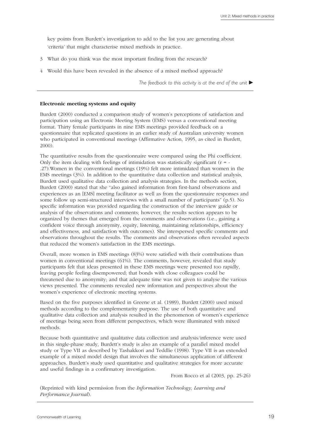key points from Burdett's investigation to add to the list you are generating about 'criteria' that might characterise mixed methods in practice.

- 3 What do you think was the most important finding from the research?
- 4 Would this have been revealed in the absence of a mixed method approach?

*The feedback to this activity is at the end of the unit* 

#### **Electronic meeting systems and equity**

Burdett (2000) conducted a comparison study of women's perceptions of satisfaction and participation using an Electronic Meeting System (EMS) versus a conventional meeting format. Thirty female participants in nine EMS meetings provided feedback on a questionnaire that replicated questions in an earlier study of Australian university women who participated in conventional meetings (Affirmative Action, 1995, as cited in Burdett, 2000).

The quantitative results from the questionnaire were compared using the Phi coefficient. Only the item dealing with feelings of intimidation was statistically significant  $(r = -1)$ .27).Women in the conventional meetings (19%) felt more intimidated than women in the EMS meetings (3%). In addition to the quantitative data collection and statistical analysis, Burdett used qualitative data collection and analysis strategies. In the methods section, Burdett (2000) stated that she "also gained information from first-hand observations and experiences as an [EMS] meeting facilitator as well as from the questionnaire responses and some follow up semi-structured interviews with a small number of participants" (p.5). No specific information was provided regarding the construction of the interview guide or analysis of the observations and comments; however, the results section appears to be organized by themes that emerged from the comments and observations (i.e., gaining a confident voice through anonymity, equity, listening, maintaining relationships, efficiency and effectiveness, and satisfaction with outcomes). She interspersed specific comments and observations throughout the results. The comments and observations often revealed aspects that reduced the women's satisfaction in the EMS meetings.

Overall, more women in EMS meetings (83%) were satisfied with their contributions than women in conventional meetings (61%). The comments, however, revealed that study participants felt that ideas presented in these EMS meetings were presented too rapidly, leaving people feeling disempowered; that bonds with close colleagues could be threatened due to anonymity; and that adequate time was not given to analyse the various views presented. The comments revealed new information and perspectives about the women's experience of electronic meeting systems.

Based on the five purposes identified in Greene et al. (1989), Burdett (2000) used mixed methods according to the complementarity purpose. The use of both quantitative and qualitative data collection and analysis resulted in the phenomenon of women's experience of meetings being seen from different perspectives, which were illuminated with mixed methods.

Because both quantitative and qualitative data collection and analysis/inference were used in this single-phase study, Burdett's study is also an example of a parallel mixed model study or Type VII as described by Tashakkori and Teddlie (1998). Type VII is an extended example of a mixed model design that involves the simultaneous application of different approaches. Burdett's study used quantitative and qualitative strategies for more accurate and useful findings in a confirmatory investigation.

From Rocco et al (2003, pp. 25-26)

(Reprinted with kind permission from the *Information Technology, Learning and Performance Journal*).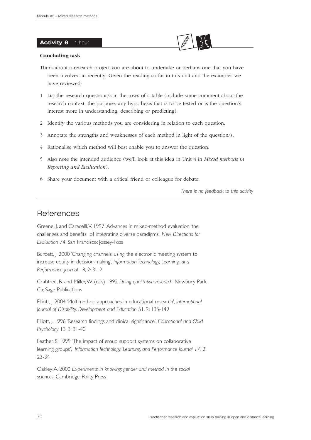#### **Activity 6** 1 hour



- Think about a research project you are about to undertake or perhaps one that you have been involved in recently. Given the reading so far in this unit and the examples we have reviewed:
- 1 List the research questions/s in the rows of a table (include some comment about the research context, the purpose, any hypothesis that is to be tested or is the question's interest more in understanding, describing or predicting).
- 2 Identify the various methods you are considering in relation to each question.
- 3 Annotate the strengths and weaknesses of each method in light of the question/s.
- 4 Rationalise which method will best enable you to answer the question.
- 5 Also note the intended audience (we'll look at this idea in Unit 4 in *Mixed methods in Reporting and Evaluation*).
- 6 Share your document with a critical friend or colleague for debate.

*There is no feedback to this activity*

# **References**

Greene, J. and Caracelli,V. 1997 'Advances in mixed-method evaluation: the challenges and benefits of integrating diverse paradigms', *New Directions for Evaluation 74*, San Francisco: Jossey-Foss

Burdett, J. 2000 'Changing channels: using the electronic meeting system to increase equity in decision-making', *Information Technology, Learning, and Performance Journal* 18, 2: 3-12

Crabtree, B. and Miller,W. (eds) 1992 *Doing qualitative research*, Newbury Park, Ca: Sage Publications

Elliott, J. 2004 'Multimethod approaches in educational research', *International Journal of Disability, Development and Education* 51, 2: 135-149

Elliott, J. 1996 'Research findings and clinical significance', *Educational and Child Psychology* 13, 3: 31-40

Feather, S. 1999 'The impact of group support systems on collaborative learning groups', *Information Technology, Learning, and Performance Journal 17,* 2: 23-34

Oakley, A. 2000 *Experiments in knowing: gender and method in the social sciences*, Cambridge: Polity Press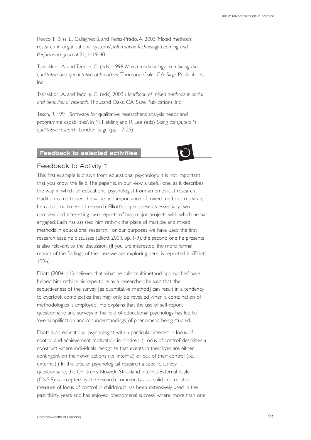Rocco,T., Bliss, L., Gallagher, S. and Perez-Prado, A. 2003 'Mixed methods research in organisational systems', *Information Technology, Learning and Performance Journal* 21, 1: 19-40

Tashakkori, A. and Teddlie, C. (eds) 1998 *Mixed methodology: combining the qualitative and quantitative approaches.* Thousand Oaks, CA: Sage Publications, Inc

Tashakkori, A. and Teddlie, C. (eds) 2003 *Handbook of mixed methods in social and behavioural research*.Thousand Oaks, CA: Sage Publications, Inc

Tesch, R. 1991 'Software for qualitative researchers: analysis needs and programme capabilities', in N. Fielding and R. Lee (eds) *Using computers in qualitative research*, London: Sage (pp. 17-25)

# **Feedback to selected activities**



# Feedback to Activity 1

This first example is drawn from educational psychology. It is not important that you know the field.The paper is, in our view a useful one, as it describes the way in which an educational psychologist from an empiricist research tradition came to see the value and importance of mixed methods research; he calls it multimethod research. Elliott's paper presents essentially two complex and interesting case reports of two major projects with which he has engaged. Each has assisted him rethink the place of multiple and mixed methods in educational research. For our purposes we have used the first research case he discusses (Elliott 2004, pp. 1-9), the second one he presents is also relevant to the discussion. (If you are interested, the more formal report of the findings of the case we are exploring here, is reported in (Elliott 1996).

Elliott (2004, p.1) believes that what he calls 'multimethod approaches' have helped him rethink his repertoire as a researcher; he says that 'the seductiveness of the survey [as quantitative method] can result in a tendency to overlook complexities that may only be revealed when a combination of methodologies is employed'. He explains that the use of self-report questionnaire and surveys in his field of educational psychology has led to 'oversimplification and misunderstandings' of phenomena being studied.

Elliott is an educational psychologist with a particular interest in locus of control and achievement motivation in children. ('Locus of control' describes a construct where individuals recognize that events in their lives are either contingent on their own actions (i.e. internal) or out of their control (i.e. external).) In this area of psychological research a specific survey questionnaire, the Children's Nowicki-Strickland Internal-External Scale (CNSIE) is accepted by the research community as a valid and reliable measure of locus of control in children; it has been extensively used in the past thirty years and has enjoyed 'phenomenal success' where 'more than one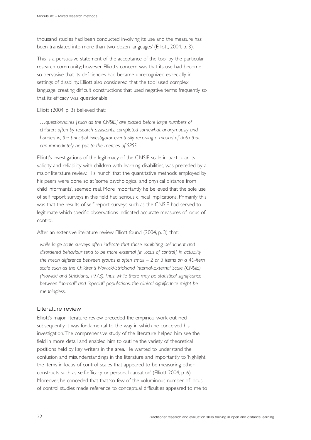thousand studies had been conducted involving its use and the measure has been translated into more than two dozen languages' (Elliott, 2004, p. 3).

This is a persuasive statement of the acceptance of the tool by the particular research community; however Elliott's concern was that its use had become so pervasive that its deficiencies had became unrecognized especially in settings of disability. Elliott also considered that the tool used complex language, creating difficult constructions that used negative terms frequently so that its efficacy was questionable.

Elliott (2004, p. 3) believed that:

*…questionnaires [such as the CNSIE] are placed before large numbers of children, often by research assistants, completed somewhat anonymously and handed in, the principal investigator eventually receiving a mound of data that can immediately be put to the mercies of SPSS.*

Elliott's investigations of the legitimacy of the CNSIE scale in particular its validity and reliability with children with learning disabilities, was preceded by a major literature review. His 'hunch' that the quantitative methods employed by his peers were done so at 'some psychological and physical distance from child informants', seemed real. More importantly he believed that the sole use of self report surveys in this field had serious clinical implications. Primarily this was that the results of self-report surveys such as the CNSIE had served to legitimate which specific observations indicated accurate measures of locus of control.

After an extensive literature review Elliott found (2004, p. 3) that:

*while large-scale surveys often indicate that those exhibiting delinquent and disordered behaviour tend to be more external [in locus of control], in actuality, the mean difference between groups is often small – 2 or 3 items on a 40-item scale such as the Children's Nowicki-Strickland Internal-External Scale (CNSIE) (Nowicki and Strickland, 1973).Thus, while there may be statistical significance between "normal" and "special" populations, the clinical significance might be meaningless.*

# Literature review

Elliott's major literature review preceded the empirical work outlined subsequently. It was fundamental to the way in which he conceived his investigation.The comprehensive study of the literature helped him see the field in more detail and enabled him to outline the variety of theoretical positions held by key writers in the area. He wanted to understand the confusion and misunderstandings in the literature and importantly to 'highlight the items in locus of control scales that appeared to be measuring other constructs such as self-efficacy or personal causation' (Elliott 2004, p. 6). Moreover, he conceded that that 'so few of the voluminous number of locus of control studies made reference to conceptual difficulties appeared to me to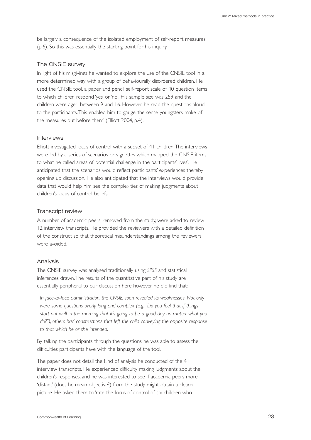be largely a consequence of the isolated employment of self-report measures' (p.6). So this was essentially the starting point for his inquiry.

#### The CNSIE survey

In light of his misgivings he wanted to explore the use of the CNSIE tool in a more determined way with a group of behaviourally disordered children. He used the CNSIE tool, a paper and pencil self-report scale of 40 question items to which children respond 'yes' or 'no'. His sample size was 259 and the children were aged between 9 and 16. However, he read the questions aloud to the participants.This enabled him to gauge 'the sense youngsters make of the measures put before them' (Elliott 2004, p.4).

#### Interviews

Elliott investigated locus of control with a subset of 41 children.The interviews were led by a series of scenarios or vignettes which mapped the CNSIE items to what he called areas of 'potential challenge in the participants' lives'. He anticipated that the scenarios would reflect participants' experiences thereby opening up discussion. He also anticipated that the interviews would provide data that would help him see the complexities of making judgments about children's locus of control beliefs.

#### Transcript review

A number of academic peers, removed from the study, were asked to review 12 interview transcripts. He provided the reviewers with a detailed definition of the construct so that theoretical misunderstandings among the reviewers were avoided.

#### Analysis

The CNSIE survey was analysed traditionally using *SPSS* and statistical inferences drawn.The results of the quantitative part of his study are essentially peripheral to our discussion here however he did find that:

*In face-to-face administration, the CNSIE soon revealed its weaknesses. Not only were some questions overly long and complex (e.g. "Do you feel that if things start out well in the morning that it's going to be a good day no matter what you do?"), others had constructions that left the child conveying the opposite response to that which he or she intended.*

By talking the participants through the questions he was able to assess the difficulties participants have with the language of the tool.

The paper does not detail the kind of analysis he conducted of the 41 interview transcripts. He experienced difficulty making judgments about the children's responses, and he was interested to see if academic peers more 'distant' (does he mean objective?) from the study might obtain a clearer picture. He asked them to 'rate the locus of control of six children who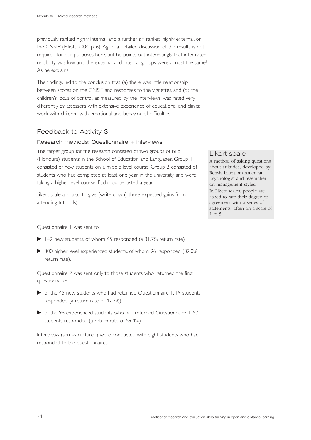previously ranked highly internal, and a further six ranked highly external, on the CNSIE' (Elliott 2004, p. 6). Again, a detailed discussion of the results is not required for our purposes here, but he points out interestingly that inter-rater reliability was low and the external and internal groups were almost the same! As he explains:

The findings led to the conclusion that (a) there was little relationship between scores on the CNSIE and responses to the vignettes, and (b) the children's locus of control, as measured by the interviews, was rated very differently by assessors with extensive experience of educational and clinical work with children with emotional and behavioural difficulties.

# Feedback to Activity 3

#### Research methods: Questionnaire + interviews

The target group for the research consisted of two groups of BEd (Honours) students in the School of Education and Languages. Group 1 consisted of new students on a middle level course; Group 2 consisted of students who had completed at least one year in the university and were taking a higher-level course. Each course lasted a year.

Likert scale and also to give (write down) three expected gains from attending tutorials).

Questionnaire 1 was sent to:

- $\blacktriangleright$  142 new students, of whom 45 responded (a 31.7% return rate)
- 300 higher level experienced students, of whom 96 responded (32.0% return rate).

Questionnaire 2 was sent only to those students who returned the first questionnaire:

- of the 45 new students who had returned Questionnaire 1, 19 students responded (a return rate of 42.2%)
- of the 96 experienced students who had returned Questionnaire 1, 57 students responded (a return rate of 59.4%)

Interviews (semi-structured) were conducted with eight students who had responded to the questionnaires.

## Likert scale

A method of asking questions about attitudes, developed by Rensis Likert, an American psychologist and researcher on management styles. In Likert scales, people are asked to rate their degree of agreement with a series of statements, often on a scale of 1 to 5.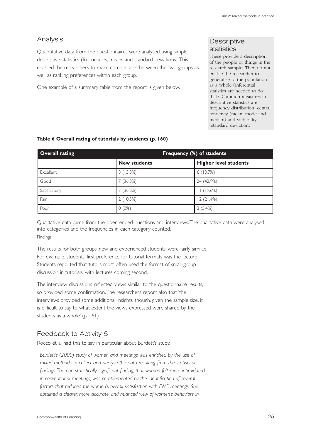# Analysis

Quantitative data from the questionnaires were analysed using simple descriptive statistics (frequencies, means and standard deviations).This enabled the researchers to make comparisons between the two groups as well as ranking preferences within each group.

One example of a summary table from the report is given below.

# **Descriptive** statistics

These provide a description of the people or things in the research sample. They do not enable the researcher to generalise to the population as a whole (inferential statistics are needed to do that). Common measures in descriptive statistics are frequency distribution, central tendency (mean, mode and median) and variability (standard deviation).

| Overall rating | Frequency (%) of students |                              |  |
|----------------|---------------------------|------------------------------|--|
|                | <b>New students</b>       | <b>Higher level students</b> |  |
| Excellent      | 3(15.8%)                  | 6(10.7%)                     |  |
| Good           | 7 (36.8%)                 | 24 (42.9%)                   |  |
| Satisfactory   | 7 (36.8%)                 | (19.6%)                      |  |
| Fair           | 2(10.5%)                  | 12(21.4%)                    |  |
| Poor           | $0(0\%)$                  | 3(5.4%)                      |  |

#### **Table 6 Overall rating of tutorials by students (p. 160)**

Qualitative data came from the open ended questions and interviews.The qualitative data were analysed into categories and the frequencies in each category counted. Findings

The results for both groups, new and experienced students, were fairly similar. For example, students' first preference for tutorial formats was the lecture. Students reported that tutors most often used the format of small-group discussion in tutorials, with lectures coming second.

The interview discussions reflected views similar to the questionnaire results, so provided some confirmation.The researchers report also that 'the interviews provided some additional insights, though, given the sample size, it is difficult to say to what extent the views expressed were shared by the students as a whole' (p. 161).

# Feedback to Activity 5

Rocco et al had this to say in particular about Burdett's study.

*Burdett's (2000) study of women and meetings was enriched by the use of mixed methods to collect and analyse the data resulting from the statistical findings.The one statistically significant finding, that women felt more intimidated in conventional meetings, was complemented by the identification of several factors that reduced the women's overall satisfaction with EMS meetings. She obtained a clearer, more accurate, and nuanced view of women's behaviors in*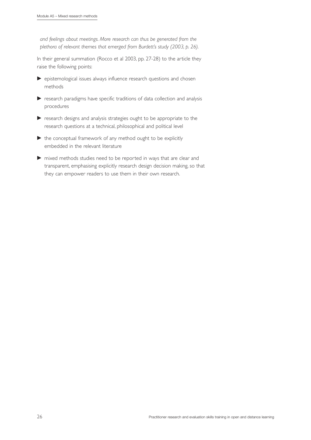*and feelings about meetings. More research can thus be generated from the plethora of relevant themes that emerged from Burdett's study (2003, p. 26).*

In their general summation (Rocco et al 2003, pp. 27-28) to the article they raise the following points:

- epistemological issues always influence research questions and chosen methods
- research paradigms have specific traditions of data collection and analysis procedures
- research designs and analysis strategies ought to be appropriate to the research questions at a technical, philosophical and political level
- $\blacktriangleright$  the conceptual framework of any method ought to be explicitly embedded in the relevant literature
- mixed methods studies need to be reported in ways that are clear and transparent, emphasising explicitly research design decision making, so that they can empower readers to use them in their own research.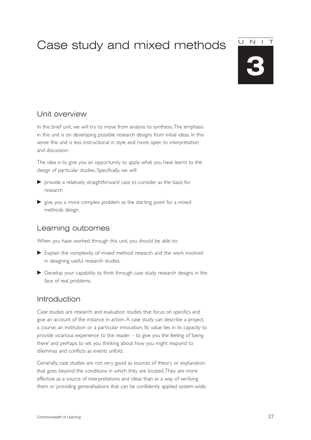# Case study and mixed methods

# UNIT

**3**

# Unit overview

In this brief unit, we will try to move from analysis to synthesis.The emphasis in this unit is on developing possible research designs from initial ideas. In this sense this unit is less instructional in style and more open to interpretation and discussion.

The idea is to give you an opportunity to apply what you have learnt to the design of particular studies. Specifically, we will:

- provide a relatively straightforward case to consider as the basis for research
- $\blacktriangleright$  give you a more complex problem as the starting point for a mixed methods design.

# Learning outcomes

When you have worked through this unit, you should be able to:

- Explain the complexity of mixed method research and the work involved in designing useful research studies.
- Develop your capability to think through case study research designs in the face of real problems.

# Introduction

Case studies are research and evaluation studies that focus on specifics and give an account of the instance in action. A case study can describe a project, a course, an institution or a particular innovation. Its value lies in its capacity to provide vicarious experience to the reader – to give you the feeling of 'being there' and perhaps to set you thinking about how you might respond to dilemmas and conflicts as events unfold.

Generally, case studies are not very good as sources of theory or explanation that goes beyond the conditions in which they are located.They are more effective as a source of interpretations and ideas than as a way of verifying them or providing generalisations that can be confidently applied system-wide.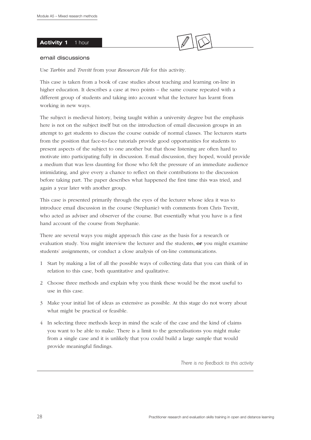#### Activity 1 1 hour



#### email discussions

Use *Tarbin* and *Trevitt* from your *Resources File* for this activity.

This case is taken from a book of case studies about teaching and learning on-line in higher education. It describes a case at two points – the same course repeated with a different group of students and taking into account what the lecturer has learnt from working in new ways.

The subject is medieval history, being taught within a university degree but the emphasis here is not on the subject itself but on the introduction of email discussion groups in an attempt to get students to discuss the course outside of normal classes. The lecturers starts from the position that face-to-face tutorials provide good opportunities for students to present aspects of the subject to one another but that those listening are often hard to motivate into participating fully in discussion. E-mail discussion, they hoped, would provide a medium that was less daunting for those who felt the pressure of an immediate audience intimidating, and give every a chance to reflect on their contributions to the discussion before taking part. The paper describes what happened the first time this was tried, and again a year later with another group.

This case is presented primarily through the eyes of the lecturer whose idea it was to introduce email discussion in the course (Stephanie) with comments from Chris Trevitt, who acted as adviser and observer of the course. But essentially what you have is a first hand account of the course from Stephanie.

There are several ways you might approach this case as the basis for a research or evaluation study. You might interview the lecturer and the students, **or** you might examine students' assignments, or conduct a close analysis of on-line communications.

- 1 Start by making a list of all the possible ways of collecting data that you can think of in relation to this case, both quantitative and qualitative.
- 2 Choose three methods and explain why you think these would be the most useful to use in this case.
- 3 Make your initial list of ideas as extensive as possible. At this stage do not worry about what might be practical or feasible.
- 4 In selecting three methods keep in mind the scale of the case and the kind of claims you want to be able to make. There is a limit to the generalisations you might make from a single case and it is unlikely that you could build a large sample that would provide meaningful findings.

*There is no feedback to this activity*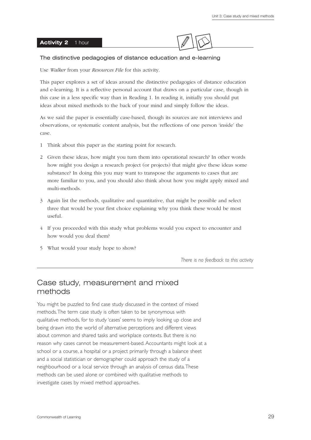#### **Activity 2** 1 hour



#### The distinctive pedagogies of distance education and e-learning

Use *Walker* from your *Resources File* for this activity.

This paper explores a set of ideas around the distinctive pedagogies of distance education and e-learning. It is a reflective personal account that draws on a particular case, though in this case in a less specific way than in Reading 1. In reading it, initially you should put ideas about mixed methods to the back of your mind and simply follow the ideas.

As we said the paper is essentially case-based, though its sources are not interviews and observations, or systematic content analysis, but the reflections of one person 'inside' the case.

- 1 Think about this paper as the starting point for research.
- 2 Given these ideas, how might you turn them into operational research? In other words how might you design a research project (or projects) that might give these ideas some substance? In doing this you may want to transpose the arguments to cases that are more familiar to you, and you should also think about how you might apply mixed and multi-methods.
- 3 Again list the methods, qualitative and quantitative, that might be possible and select three that would be your first choice explaining why you think these would be most useful.
- 4 If you proceeded with this study what problems would you expect to encounter and how would you deal them?
- 5 What would your study hope to show?

*There is no feedback to this activity*

# Case study, measurement and mixed methods

You might be puzzled to find case study discussed in the context of mixed methods.The term case study is often taken to be synonymous with qualitative methods, for to study 'cases' seems to imply looking up close and being drawn into the world of alternative perceptions and different views about common and shared tasks and workplace contexts. But there is no reason why cases cannot be measurement-based. Accountants might look at a school or a course, a hospital or a project primarily through a balance sheet and a social statistician or demographer could approach the study of a neighbourhood or a local service through an analysis of census data.These methods can be used alone or combined with qualitative methods to investigate cases by mixed method approaches.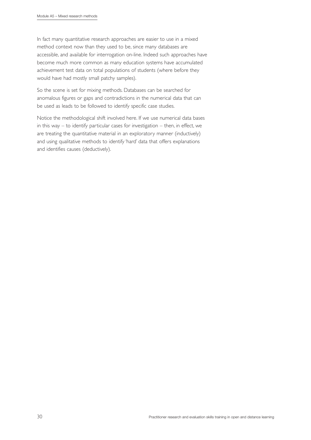In fact many quantitative research approaches are easier to use in a mixed method context now than they used to be, since many databases are accessible, and available for interrogation on-line. Indeed such approaches have become much more common as many education systems have accumulated achievement test data on total populations of students (where before they would have had mostly small patchy samples).

So the scene is set for mixing methods. Databases can be searched for anomalous figures or gaps and contradictions in the numerical data that can be used as leads to be followed to identify specific case studies.

Notice the methodological shift involved here. If we use numerical data bases in this way – to identify particular cases for investigation – then, in effect, we are treating the quantitative material in an exploratory manner (inductively) and using qualitative methods to identify 'hard' data that offers explanations and identifies causes (deductively).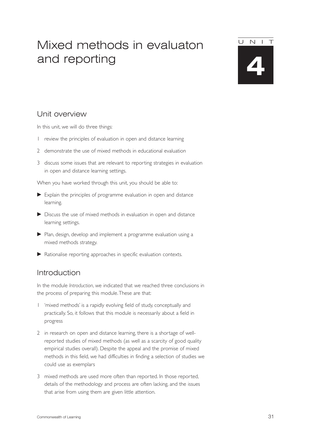# Mixed methods in evaluaton and reporting

UNIT

**4**

# Unit overview

In this unit, we will do three things:

- 1 review the principles of evaluation in open and distance learning
- 2 demonstrate the use of mixed methods in educational evaluation
- 3 discuss some issues that are relevant to reporting strategies in evaluation in open and distance learning settings.

When you have worked through this unit, you should be able to:

- Explain the principles of programme evaluation in open and distance learning.
- Discuss the use of mixed methods in evaluation in open and distance learning settings.
- Plan, design, develop and implement a programme evaluation using a mixed methods strategy.
- Rationalise reporting approaches in specific evaluation contexts.

# Introduction

In the module *Introduction*, we indicated that we reached three conclusions in the process of preparing this module.These are that:

- 1 'mixed methods' is a rapidly evolving field of study, conceptually and practically. So, it follows that this module is necessarily about a field in progress
- 2 in research on open and distance learning, there is a shortage of wellreported studies of mixed methods (as well as a scarcity of good quality empirical studies overall). Despite the appeal and the promise of mixed methods in this field, we had difficulties in finding a selection of studies we could use as exemplars
- 3 mixed methods are used more often than reported. In those reported, details of the methodology and process are often lacking, and the issues that arise from using them are given little attention.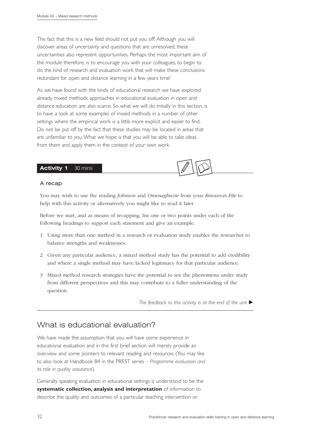The fact that this is a new field should not put you off! Although you will discover areas of uncertainty and questions that are unresolved, these uncertainties also represent opportunities. Perhaps the most important aim of the module therefore, is to encourage you with your colleagues, to begin to do the kind of research and evaluation work that will make these conclusions redundant for open and distance learning in a few years time!

As we have found with the kinds of educational research we have explored already, mixed methods approaches in educational evaluation in open and distance education are also scarce. So what we will do initially in this section, is to have a look at some examples of mixed methods in a number of other settings where the empirical work is a little more explicit and easier to find. Do not be put off by the fact that these studies may be located in areas that are unfamiliar to you.What we hope is that you will be able to take ideas from them and apply them in the context of your own work.

#### Activity 1 30 mins

#### A recap

You may wish to use the reading *Johnson* and *Onwuegbuzie* from your *Resources File* to help with this activity or alternatively you might like to read it later.

Before we start, and as means of recapping, list one or two points under each of the following headings to support each statement and give an example.

- 1 Using more than one method in a research or evaluation study enables the researcher to balance strengths and weaknesses.
- 2 Given any particular audience, a mixed method study has the potential to add credibility and where a single method may have lacked legitimacy for that particular audience.
- 3 Mixed method research strategies have the potential to see the phenomena under study from different perspectives and this may contribute to a fuller understanding of the question.

The feedback to this activity is at the end of the unit  $\blacktriangleright$ 

# What is educational evaluation?

We have made the assumption that you will have some experience in educational evaluation and in this first brief section will merely provide an overview and some pointers to relevant reading and resources (You may like to also look at Handbook B4 in the PREST series – *Programme evaluation and its role in quality assurance*).

Generally speaking evaluation in educational settings is understood to be the **systematic collection, analysis and interpretation** of information to describe the quality and outcomes of a particular teaching intervention or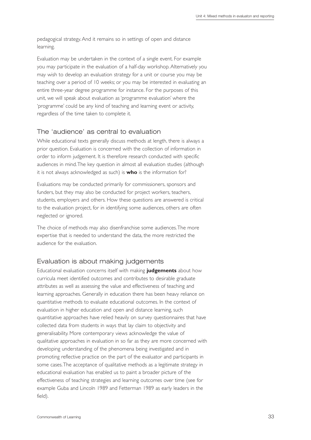pedagogical strategy. And it remains so in settings of open and distance learning.

Evaluation may be undertaken in the context of a single event. For example you may participate in the evaluation of a half-day workshop. Alternatively you may wish to develop an evaluation strategy for a unit or course you may be teaching over a period of 10 weeks; or you may be interested in evaluating an entire three-year degree programme for instance. For the purposes of this unit, we will speak about evaluation as 'programme evaluation' where the 'programme' could be any kind of teaching and learning event or activity, regardless of the time taken to complete it.

# The 'audience' as central to evaluation

While educational texts generally discuss methods at length, there is always a prior question. Evaluation is concerned with the collection of information in order to inform judgement. It is therefore research conducted with specific audiences in mind.The key question in almost all evaluation studies (although it is not always acknowledged as such) is **who** is the information for?

Evaluations may be conducted primarily for commissioners, sponsors and funders, but they may also be conducted for project workers, teachers, students, employers and others. How these questions are answered is critical to the evaluation project, for in identifying some audiences, others are often neglected or ignored.

The choice of methods may also disenfranchise some audiences.The more expertise that is needed to understand the data, the more restricted the audience for the evaluation.

# Evaluation is about making judgements

Educational evaluation concerns itself with making **judgements** about how curricula meet identified outcomes and contributes to desirable graduate attributes as well as assessing the value and effectiveness of teaching and learning approaches. Generally in education there has been heavy reliance on quantitative methods to evaluate educational outcomes. In the context of evaluation in higher education and open and distance learning, such quantitative approaches have relied heavily on survey questionnaires that have collected data from students in ways that lay claim to objectivity and generalisability. More contemporary views acknowledge the value of qualitative approaches in evaluation in so far as they are more concerned with developing understanding of the phenomena being investigated and in promoting reflective practice on the part of the evaluator and participants in some cases.The acceptance of qualitative methods as a legitimate strategy in educational evaluation has enabled us to paint a broader picture of the effectiveness of teaching strategies and learning outcomes over time (see for example Guba and Lincoln 1989 and Fetterman 1989 as early leaders in the field).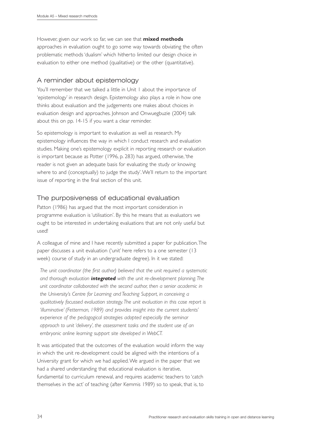However, given our work so far, we can see that **mixed methods** approaches in evaluation ought to go some way towards obviating the often problematic methods 'dualism' which hitherto limited our design choice in evaluation to either one method (qualitative) or the other (quantitative).

# A reminder about epistemology

You'll remember that we talked a little in Unit 1 about the importance of 'epistemology' in research design. Epistemology also plays a role in how one thinks about evaluation and the judgements one makes about choices in evaluation design and approaches. Johnson and Onwuegbuzie (2004) talk about this on pp. 14-15 if you want a clear reminder.

So epistemology is important to evaluation as well as research. My epistemology influences the way in which I conduct research and evaluation studies. Making one's epistemology explicit in reporting research or evaluation is important because as Potter (1996, p. 283) has argued, otherwise,'the reader is not given an adequate basis for evaluating the study or knowing where to and (conceptually) to judge the study'.We'll return to the important issue of reporting in the final section of this unit.

# The purposiveness of educational evaluation

Patton (1986) has argued that the most important consideration in programme evaluation is 'utilisation'. By this he means that as evaluators we ought to be interested in undertaking evaluations that are not only useful but used!

A colleague of mine and I have recently submitted a paper for publication.The paper discusses a unit evaluation ('unit' here refers to a one semester (13 week) course of study in an undergraduate degree). In it we stated:

*The unit coordinator (the first author) believed that the unit required a systematic and thorough evaluation integrated with the unit re-development planning.The unit coordinator collaborated with the second author, then a senior academic in the University's Centre for Learning and Teaching Support, in conceiving a qualitatively focussed evaluation strategy.The unit evaluation in this case report is 'illuminative' (Fetterman, 1989) and provides insight into the current students' experience of the pedagogical strategies adopted especially the seminar approach to unit 'delivery', the assessment tasks and the student use of an embryonic online learning support site developed in WebCT.*

It was anticipated that the outcomes of the evaluation would inform the way in which the unit re-development could be aligned with the intentions of a University grant for which we had applied.We argued in the paper that we had a shared understanding that educational evaluation is iterative, fundamental to curriculum renewal, and requires academic teachers to 'catch themselves in the act' of teaching (after Kemmis 1989) so to speak, that is, to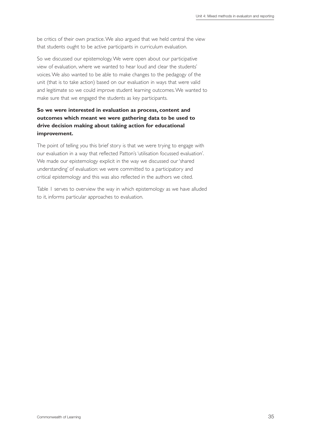be critics of their own practice.We also argued that we held central the view that students ought to be active participants in curriculum evaluation.

So we discussed our epistemology.We were open about our participative view of evaluation, where we wanted to hear loud and clear the students' voices.We also wanted to be able to make changes to the pedagogy of the unit (that is to take action) based on our evaluation in ways that were valid and legitimate so we could improve student learning outcomes.We wanted to make sure that we engaged the students as key participants.

# **So we were interested in evaluation as process, content and outcomes which meant we were gathering data to be used to drive decision making about taking action for educational improvement.**

The point of telling you this brief story is that we were trying to engage with our evaluation in a way that reflected Patton's 'utilisation focussed evaluation'. We made our epistemology explicit in the way we discussed our 'shared understanding' of evaluation: we were committed to a participatory and critical epistemology and this was also reflected in the authors we cited.

Table 1 serves to overview the way in which epistemology as we have alluded to it, informs particular approaches to evaluation.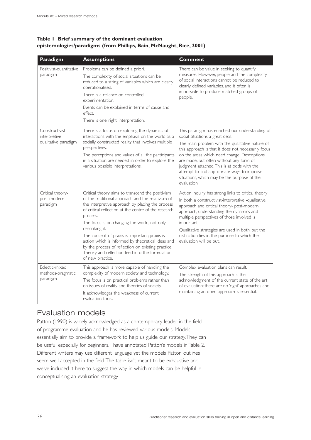## **Table 1 Brief summary of the dominant evaluation epistemologies/paradigms (from Phillips, Bain, McNaught, Rice, 2001)**

| Paradigm                                                  | <b>Assumptions</b>                                                                                                                                                                                                                                                                                                                                                                                                                                                                                                                 | <b>Comment</b>                                                                                                                                                                                                                                                                                                                                                                                                                                      |
|-----------------------------------------------------------|------------------------------------------------------------------------------------------------------------------------------------------------------------------------------------------------------------------------------------------------------------------------------------------------------------------------------------------------------------------------------------------------------------------------------------------------------------------------------------------------------------------------------------|-----------------------------------------------------------------------------------------------------------------------------------------------------------------------------------------------------------------------------------------------------------------------------------------------------------------------------------------------------------------------------------------------------------------------------------------------------|
| Positivist-quantitative<br>paradigm                       | Problems can be defined a priori.<br>The complexity of social situations can be<br>reduced to a string of variables which are clearly<br>operationalised.<br>There is a reliance on controlled<br>experimentation.<br>Events can be explained in terms of cause and<br>effect.<br>There is one 'right' interpretation.                                                                                                                                                                                                             | There can be value in seeking to quantify<br>measures. However, people and the complexity<br>of social interactions cannot be reduced to<br>clearly defined variables, and it often is<br>impossible to produce matched groups of<br>people.                                                                                                                                                                                                        |
| Constructivist-<br>interpretive -<br>qualitative paradigm | There is a focus on exploring the dynamics of<br>interactions with the emphasis on the world as a<br>socially constructed reality that involves multiple<br>perspectives.<br>The perceptions and values of all the participants<br>in a situation are needed in order to explore the<br>various possible interpretations.                                                                                                                                                                                                          | This paradigm has enriched our understanding of<br>social situations a great deal.<br>The main problem with the qualitative nature of<br>this approach is that it does not necessarily focus<br>on the areas which need change. Descriptions<br>are made, but often without any form of<br>judgment attached. This is at odds with the<br>attempt to find appropriate ways to improve<br>situations, which may be the purpose of the<br>evaluation. |
| Critical theory-<br>post-modern-<br>paradigm              | Critical theory aims to transcend the positivism<br>of the traditional approach and the relativism of<br>the interpretive approach by placing the process<br>of critical reflection at the centre of the research<br>process.<br>The focus is on changing the world, not only<br>describing it.<br>The concept of praxis is important; praxis is<br>action which is informed by theoretical ideas and<br>by the process of reflection on existing practice.<br>Theory and reflection feed into the formulation<br>of new practice. | Action inquiry has strong links to critical theory<br>In both a constructivist-interpretive -qualitative<br>approach and critical theory- post-modern<br>approach, understanding the dynamics and<br>multiple perspectives of those involved is<br>important.<br>Qualitative strategies are used in both, but the<br>distinction lies in the purpose to which the<br>evaluation will be put.                                                        |
| Eclectic-mixed<br>methods-pragmatic<br>paradigm           | This approach is more capable of handling the<br>complexity of modern society and technology.<br>The focus is on practical problems rather than<br>on issues of reality and theories of society.<br>It acknowledges the weakness of current<br>evaluation tools.                                                                                                                                                                                                                                                                   | Complex evaluation plans can result.<br>The strength of this approach is the<br>acknowledgment of the current state of the art<br>of evaluation; there are no 'right' approaches and<br>maintaining an open approach is essential.                                                                                                                                                                                                                  |

# Evaluation models

Patton (1990) is widely acknowledged as a contemporary leader in the field of programme evaluation and he has reviewed various models. Models essentially aim to provide a framework to help us guide our strategy.They can be useful especially for beginners. I have annotated Patton's models in Table 2. Different writers may use different language yet the models Patton outlines seem well accepted in the field.The table isn't meant to be exhaustive and we've included it here to suggest the way in which models can be helpful in conceptualising an evaluation strategy.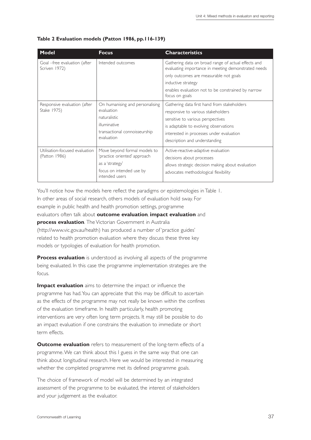| <b>Model</b>                                    | <b>Focus</b>                                                                                                                  | <b>Characteristics</b>                                                                                                                                                                                                                             |
|-------------------------------------------------|-------------------------------------------------------------------------------------------------------------------------------|----------------------------------------------------------------------------------------------------------------------------------------------------------------------------------------------------------------------------------------------------|
| Goal -free evaluation (after<br>Scriven 1972)   | Intended outcomes                                                                                                             | Gathering data on broad range of actual effects and<br>evaluating importance in meeting demonstrated needs<br>only outcomes are measurable not goals<br>inductive strategy<br>enables evaluation not to be constrained by narrow<br>focus on goals |
| Responsive evaluation (after<br>Stake 1975)     | On humanising and personalising<br>evaluation<br>naturalistic<br>illuminative<br>transactional connoisseurship<br>evaluation  | Gathering data first hand from stakeholders<br>responsive to various stakeholders<br>sensitive to various perspectives<br>is adaptable to evolving observations<br>interested in processes under evaluation<br>description and understanding       |
| Utilisation-focused evaluation<br>(Patton 1986) | Move beyond formal models to<br>'practice oriented' approach<br>as a 'strategy'<br>focus on intended use by<br>intended users | Active-reactive-adaptive evaluation<br>decisions about processes<br>allows strategic decision making about evaluation<br>advocates methodological flexibility                                                                                      |

#### **Table 2 Evaluation models (Patton 1986, pp.116-139)**

You'll notice how the models here reflect the paradigms or epistemologies in Table 1. In other areas of social research, others models of evaluation hold sway. For example in public health and health promotion settings, programme evaluators often talk about **outcome evaluation***,* **impact evaluation** and **process evaluation***.* The Victorian Government in Australia (http://www.vic.gov.au/health) has produced a number of 'practice guides' related to health promotion evaluation where they discuss these three key models or typologies of evaluation for health promotion.

**Process evaluation** is understood as involving all aspects of the programme being evaluated. In this case the programme implementation strategies are the focus.

**Impact evaluation** aims to determine the impact or influence the programme has had.You can appreciate that this may be difficult to ascertain as the effects of the programme may not really be known within the confines of the evaluation timeframe. In health particularly, health promoting interventions are very often long term projects. It may still be possible to do an impact evaluation if one constrains the evaluation to immediate or short term effects.

**Outcome evaluation** refers to measurement of the long-term effects of a programme.We can think about this I guess in the same way that one can think about longitudinal research. Here we would be interested in measuring whether the completed programme met its defined programme goals.

The choice of framework of model will be determined by an integrated assessment of the programme to be evaluated, the interest of stakeholders and your judgement as the evaluator.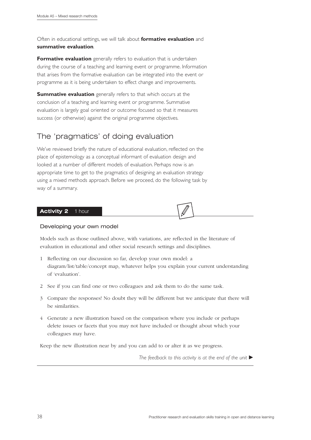Often in educational settings, we will talk about **formative evaluation** and **summative evaluation***.*

**Formative evaluation** generally refers to evaluation that is undertaken during the course of a teaching and learning event or programme. Information that arises from the formative evaluation can be integrated into the event or programme as it is being undertaken to effect change and improvements.

**Summative evaluation** generally refers to that which occurs at the conclusion of a teaching and learning event or programme. Summative evaluation is largely goal oriented or outcome focused so that it measures success (or otherwise) against the original programme objectives.

# The 'pragmatics' of doing evaluation

We've reviewed briefly the nature of educational evaluation, reflected on the place of epistemology as a conceptual informant of evaluation design and looked at a number of different models of evaluation. Perhaps now is an appropriate time to get to the pragmatics of designing an evaluation strategy using a mixed methods approach. Before we proceed, do the following task by way of a summary.

#### **Activity 2** 1 hour

#### Developing your own model

Models such as those outlined above, with variations, are reflected in the literature of evaluation in educational and other social research settings and disciplines.

- 1 Reflecting on our discussion so far, develop your own model: a diagram/list/table/concept map, whatever helps you explain your current understanding of 'evaluation'.
- 2 See if you can find one or two colleagues and ask them to do the same task.
- 3 Compare the responses! No doubt they will be different but we anticipate that there will be similarities.
- 4 Generate a new illustration based on the comparison where you include or perhaps delete issues or facets that you may not have included or thought about which your colleagues may have.

Keep the new illustration near by and you can add to or alter it as we progress.

*The feedback to this activity is at the end of the unit*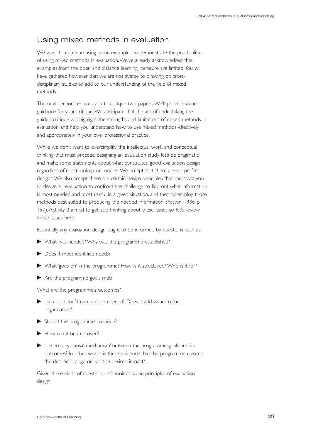# Using mixed methods in evaluation

We want to continue using some examples to demonstrate the practicalities of using mixed methods in evaluation.We've already acknowledged that examples from the open and distance learning literature are limited.You will have gathered however that we are not averse to drawing on crossdisciplinary studies to add to our understanding of the field of mixed methods.

The next section requires you to critique two papers.We'll provide some guidance for your critique.We anticipate that the act of undertaking the guided critique will highlight the strengths and limitations of mixed methods in evaluation and help you understand how to use mixed methods effectively and appropriately in your own professional practice.

While we don't want to oversimplify the intellectual work and conceptual thinking that must precede designing an evaluation study, let's be pragmatic and make some statements about what constitutes 'good' evaluation design regardless of epistemology or models.We accept that there are no perfect designs.We also accept there are certain design principles that can assist you to design an evaluation to confront the challenge 'to find out what information is most needed and most useful in a given situation, and then to employ those methods best suited to producing the needed information' (Patton, 1986, p. 197). Activity 2 aimed to get you thinking about these issues so let's review those issues here.

Essentially, any evaluation design ought to be informed by questions such as:

- What was needed? Why was the programme established?
- Does it meet identified needs?
- What 'goes on' in the programme? How is it structured? Who is it for?
- Are the programme goals met?

What are the programme's outcomes?

- Is a cost benefit comparison needed? Does it add value to the organisation?
- Should the programme continue?
- How can it be improved?
- $\blacktriangleright$  Is there any 'causal mechanism' between the programme goals and its outcomes? In other words is there evidence that the programme created the desired change or had the desired impact?

Given these kinds of questions, let's look at some principles of evaluation design.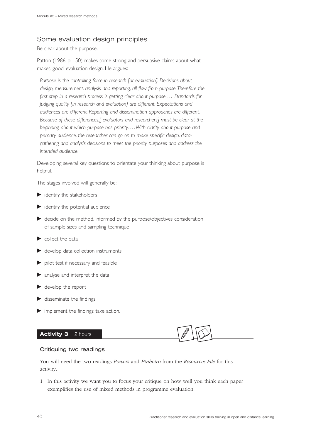# Some evaluation design principles

Be clear about the purpose.

Patton (1986, p. 150) makes some strong and persuasive claims about what makes 'good' evaluation design. He argues:

*Purpose is the controlling force in research [or evaluation]. Decisions about design, measurement, analysis and reporting, all flow from purpose.Therefore the first step in a research process is getting clear about purpose … Standards for judging quality [in research and evaluation] are different. Expectations and audiences are different. Reporting and dissemination approaches are different. Because of these differences,[ evaluators and researchers] must be clear at the beginning about which purpose has priority. …With clarity about purpose and primary audience, the researcher can go on to make specific design, datagathering and analysis decisions to meet the priority purposes and address the intended audience.*

Developing several key questions to orientate your thinking about purpose is helpful.

The stages involved will generally be:

- $\blacktriangleright$  identify the stakeholders
- identify the potential audience
- decide on the method, informed by the purpose/objectives consideration of sample sizes and sampling technique
- $\blacktriangleright$  collect the data
- $\blacktriangleright$  develop data collection instruments
- pilot test if necessary and feasible
- analyse and interpret the data
- develop the report
- $\blacktriangleright$  disseminate the findings
- implement the findings: take action.

## Activity 3 2 hours

#### Critiquing two readings

You will need the two readings *Powers* and *Pinheiro* from the *Resources File* for this activity.

1 In this activity we want you to focus your critique on how well you think each paper exemplifies the use of mixed methods in programme evaluation.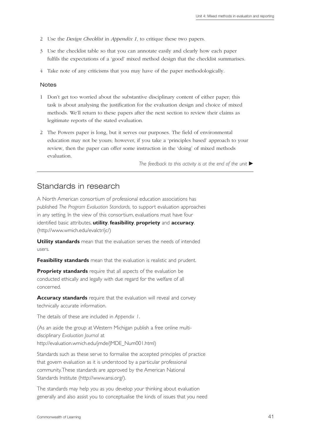- 2 Use the *Design Checklist* in *Appendix 1*, to critique these two papers.
- 3 Use the checklist table so that you can annotate easily and clearly how each paper fulfils the expectations of a 'good' mixed method design that the checklist summarises.
- 4 Take note of any criticisms that you may have of the paper methodologically.

#### **Notes**

- 1 Don't get too worried about the substantive disciplinary content of either paper; this task is about analysing the justification for the evaluation design and choice of mixed methods. We'll return to these papers after the next section to review their claims as legitimate reports of the stated evaluation.
- 2 The Powers paper is long, but it serves our purposes. The field of environmental education may not be yours; however, if you take a 'principles based' approach to your review, then the paper can offer some instruction in the 'doing' of mixed methods evaluation.

*The feedback to this activity is at the end of the unit* 

# Standards in research

A North American consortium of professional education associations has published *The Program Evaluation Standards,* to support evaluation approaches in any setting. In the view of this consortium, evaluations must have four identified basic attributes, **utility**, **feasibility**, **propriety** and **accuracy**. (http://www.wmich.edu/evalctr/jc/)

**Utility standards** mean that the evaluation serves the needs of intended users.

**Feasibility standards** mean that the evaluation is realistic and prudent.

**Propriety standards** require that all aspects of the evaluation be conducted ethically and legally with due regard for the welfare of all concerned.

**Accuracy standards** require that the evaluation will reveal and convey technically accurate information.

The details of these are included in *Appendix 1*.

(As an aside the group at Western Michigan publish a free online multidisciplinary *Evaluation Journal* at http://evaluation.wmich.edu/jmde/JMDE\_Num001.html)

Standards such as these serve to formalise the accepted principles of practice that govern evaluation as it is understood by a particular professional community.These standards are approved by the American National Standards Institute (http://www.ansi.org/).

The standards may help you as you develop your thinking about evaluation generally and also assist you to conceptualise the kinds of issues that you need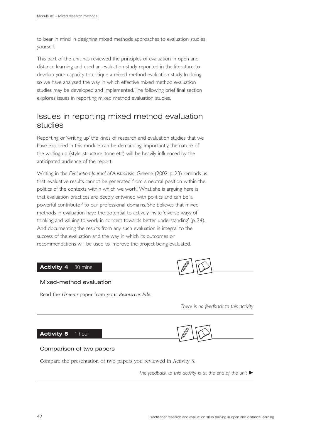to bear in mind in designing mixed methods approaches to evaluation studies yourself.

This part of the unit has reviewed the principles of evaluation in open and distance learning and used an evaluation study reported in the literature to develop your capacity to critique a mixed method evaluation study. In doing so we have analysed the way in which effective mixed method evaluation studies may be developed and implemented.The following brief final section explores issues in reporting mixed method evaluation studies.

# Issues in reporting mixed method evaluation studies

Reporting or 'writing up' the kinds of research and evaluation studies that we have explored in this module can be demanding. Importantly, the nature of the writing up (style, structure, tone etc) will be heavily influenced by the anticipated audience of the report.

Writing in the *Evaluation Journal of Australasia*, Greene (2002, p. 23) reminds us that 'evaluative results cannot be generated from a neutral position within the politics of the contexts within which we work'.What she is arguing here is that evaluation practices are deeply entwined with politics and can be 'a powerful contributor' to our professional domains. She believes that mixed methods in evaluation have the potential to actively invite 'diverse ways of thinking and valuing to work in concert towards better understanding' (p. 24). And documenting the results from any such evaluation is integral to the success of the evaluation and the way in which its outcomes or recommendations will be used to improve the project being evaluated.

#### Activity 4 30 mins



#### Mixed-method evaluation

Read the *Greene* paper from your *Resources File*.

*There is no feedback to this activity*

#### **Activity 5** 1 hour



#### Comparison of two papers

Compare the presentation of two papers you reviewed in Activity 3.

*The feedback to this activity is at the end of the unit*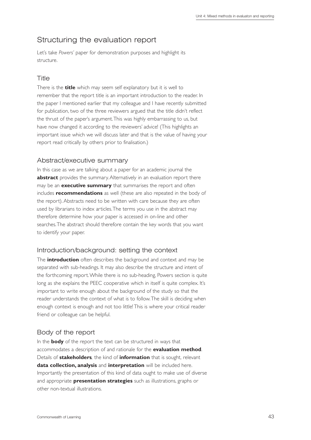# Structuring the evaluation report

Let's take *Powers'* paper for demonstration purposes and highlight its structure.

# **Title**

There is the **title** which may seem self explanatory but it is well to remember that the report title is an important introduction to the reader. In the paper I mentioned earlier that my colleague and I have recently submitted for publication, two of the three reviewers argued that the title didn't reflect the thrust of the paper's argument.This was highly embarrassing to us, but have now changed it according to the reviewers' advice! (This highlights an important issue which we will discuss later and that is the value of having your report read critically by others prior to finalisation.)

# Abstract/executive summary

In this case as we are talking about a paper for an academic journal the **abstract** provides the summary. Alternatively in an evaluation report there may be an **executive summary** that summarises the report and often includes **recommendations** as well (these are also repeated in the body of the report). Abstracts need to be written with care because they are often used by librarians to index articles.The terms you use in the abstract may therefore determine how your paper is accessed in on-line and other searches.The abstract should therefore contain the key words that you want to identify your paper.

# Introduction/background: setting the context

The **introduction** often describes the background and context and may be separated with sub-headings. It may also describe the structure and intent of the forthcoming report.While there is no sub-heading, Powers section is quite long as she explains the PEEC cooperative which in itself is quite complex. It's important to write enough about the background of the study so that the reader understands the context of what is to follow.The skill is deciding when enough context is enough and not too little! This is where your critical reader friend or colleague can be helpful.

# Body of the report

In the **body** of the report the text can be structured in ways that accommodates a description of and rationale for the **evaluation method**. Details of **stakeholders***,* the kind of **information** that is sought, relevant **data collection, analysis** and **interpretation** will be included here. Importantly the presentation of this kind of data ought to make use of diverse and appropriate **presentation strategies** such as illustrations, graphs or other non-textual illustrations.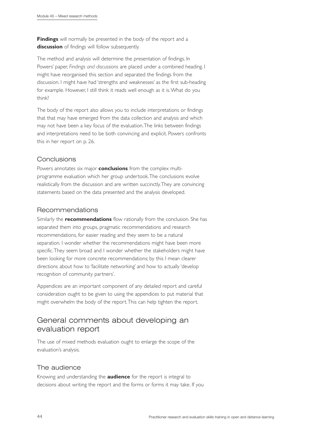**Findings** will normally be presented in the body of the report and a **discussion** of findings will follow subsequently.

The method and analysis will determine the presentation of findings. In Powers' paper, *Findings and discussions* are placed under a combined heading. I might have reorganised this section and separated the findings from the discussion. I might have had 'strengths and weaknesses' as the first sub-heading for example. However, I still think it reads well enough as it is.What do you think?

The body of the report also allows you to include interpretations or findings that that may have emerged from the data collection and analysis and which may not have been a key focus of the evaluation.The links between findings and interpretations need to be both convincing and explicit. Powers confronts this in her report on p. 26.

# Conclusions

Powers annotates six major **conclusions** from the complex multiprogramme evaluation which her group undertook.The conclusions evolve realistically from the discussion and are written succinctly.They are convincing statements based on the data presented and the analysis developed.

# Recommendations

Similarly the **recommendations** flow rationally from the conclusion. She has separated them into groups, pragmatic recommendations and research recommendations, for easier reading and they seem to be a natural separation. I wonder whether the recommendations might have been more specific.They seem broad and I wonder whether the stakeholders might have been looking for more concrete recommendations; by this I mean clearer directions about how to 'facilitate networking' and how to actually 'develop recognition of community partners'.

Appendices are an important component of any detailed report and careful consideration ought to be given to using the appendices to put material that might overwhelm the body of the report.This can help tighten the report.

# General comments about developing an evaluation report

The use of mixed methods evaluation ought to enlarge the scope of the evaluation's analysis.

# The audience

Knowing and understanding the **audience** for the report is integral to decisions about writing the report and the forms or forms it may take. If you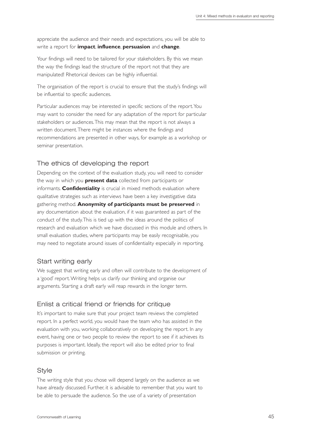appreciate the audience and their needs and expectations, you will be able to write a report for **impact**, **influence**, **persuasion** and **change**.

Your findings will need to be tailored for your stakeholders. By this we mean the way the findings lead the structure of the report not that they are manipulated! Rhetorical devices can be highly influential.

The organisation of the report is crucial to ensure that the study's findings will be influential to specific audiences.

Particular audiences may be interested in specific sections of the report.You may want to consider the need for any adaptation of the report for particular stakeholders or audiences.This may mean that the report is not always a written document.There might be instances where the findings and recommendations are presented in other ways, for example as a workshop or seminar presentation.

# The ethics of developing the report

Depending on the context of the evaluation study, you will need to consider the way in which you **present data** collected from participants or informants. **Confidentiality** is crucial in mixed methods evaluation where qualitative strategies such as interviews have been a key investigative data gathering method. **Anonymity of participants must be preserved** in any documentation about the evaluation, if it was guaranteed as part of the conduct of the study.This is tied up with the ideas around the politics of research and evaluation which we have discussed in this module and others. In small evaluation studies, where participants may be easily recognisable, you may need to negotiate around issues of confidentiality especially in reporting.

#### Start writing early

We suggest that writing early and often will contribute to the development of a 'good' report.Writing helps us clarify our thinking and organise our arguments. Starting a draft early will reap rewards in the longer term.

# Enlist a critical friend or friends for critique

It's important to make sure that your project team reviews the completed report. In a perfect world, you would have the team who has assisted in the evaluation with you, working collaboratively on developing the report. In any event, having one or two people to review the report to see if it achieves its purposes is important. Ideally, the report will also be edited prior to final submission or printing.

#### **Style**

The writing style that you chose will depend largely on the audience as we have already discussed. Further, it is advisable to remember that you want to be able to persuade the audience. So the use of a variety of presentation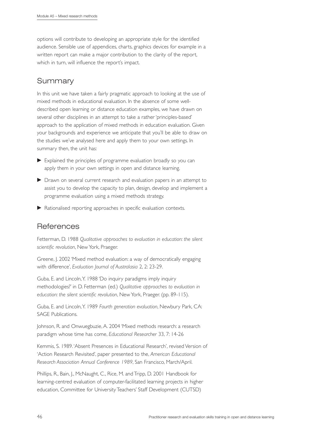options will contribute to developing an appropriate style for the identified audience. Sensible use of appendices, charts, graphics devices for example in a written report can make a major contribution to the clarity of the report, which in turn, will influence the report's impact.

# Summary

In this unit we have taken a fairly pragmatic approach to looking at the use of mixed methods in educational evaluation. In the absence of some welldescribed open learning or distance education examples, we have drawn on several other disciplines in an attempt to take a rather 'principles-based' approach to the application of mixed methods in education evaluation. Given your backgrounds and experience we anticipate that you'll be able to draw on the studies we've analysed here and apply them to your own settings. In summary then, the unit has:

- Explained the principles of programme evaluation broadly so you can apply them in your own settings in open and distance learning.
- Drawn on several current research and evaluation papers in an attempt to assist you to develop the capacity to plan, design, develop and implement a programme evaluation using a mixed methods strategy.
- Rationalised reporting approaches in specific evaluation contexts.

# References

Fetterman, D. 1988 *Qualitative approaches to evaluation in education: the silent scientific revolution*, New York, Praeger.

Greene, J. 2002 'Mixed method evaluation: a way of democratically engaging with difference', *Evaluation Journal of Australasia* 2, 2: 23-29.

Guba, E. and Lincoln,Y. 1988 'Do inquiry paradigms imply inquiry methodologies?' in D. Fetterman (ed.) *Qualitative approaches to evaluation in education: the silent scientific revolution*, New York, Praeger. (pp. 89-115).

Guba, E. and Lincoln,Y. 1989 *Fourth generation evaluation*, Newbury Park, CA: SAGE Publications.

Johnson, R. and Onwuegbuzie, A. 2004 'Mixed methods research: a research paradigm whose time has come, *Educational Researcher* 33, 7: 14-26

Kemmis, S. 1989.'Absent Presences in Educational Research', revised Version of 'Action Research Revisited', paper presented to the, *American Educational Research Association Annual Conference 1989*, San Francisco, March/April.

Phillips, R., Bain, J., McNaught, C., Rice, M. and Tripp, D. 2001 Handbook for learning-centred evaluation of computer-facilitated learning projects in higher education, Committee for University Teachers' Staff Development (CUTSD)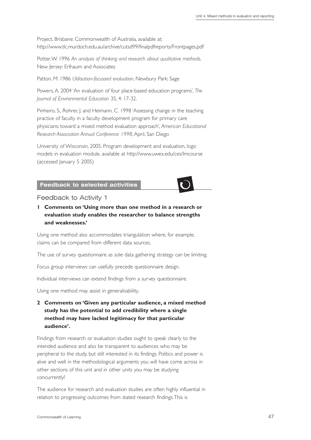Project, Brisbane: Commonwealth of Australia, available at: http://www.tlc.murdoch.edu.au/archive/cutsd99/finalpdfreports/Frontpages.pdf

Potter, W. 1996 An analysis of thinking and research about qualitative methods, New Jersey: Erlhaum and Associates

Patton, M. 1986 *Utilisation-focussed evaluation*, Newbury Park: Sage

Powers, A. 2004 'An evaluation of four place-based education programs', *The Journal of Environmental Education* 35, 4: 17-32.

Pinheiro, S., Rohrer, J. and Heimann, C. 1998 'Assessing change in the teaching practice of faculty in a faculty development program for primary care physicians: toward a mixed method evaluation approach', *American Educational Research Association Annual Conference 1998*,April, San Diego

University of Wisconsin, 2005. Program development and evaluation, logic models in evaluation module, available at http://www.uwex.edu/ces/lmcourse (accessed January 5 2005)

**Feedback to selected activities**

#### Feedback to Activity 1

**1 Comments on 'Using more than one method in a research or evaluation study enables the researcher to balance strengths and weaknesses.'**

Using one method also accommodates triangulation where, for example, claims can be compared from different data sources.

The use of survey questionnaire as sole data gathering strategy can be limiting.

Focus group interviews can usefully precede questionnaire design.

Individual interviews can extend findings from a survey questionnaire.

Using one method may assist in generalisability.

**2 Comments on 'Given any particular audience, a mixed method study has the potential to add credibility where a single method may have lacked legitimacy for that particular audience'.**

Findings from research or evaluation studies ought to speak clearly to the intended audience and also be transparent to audiences who may be peripheral to the study, but still interested in its findings. Politics and power is alive and well in the methodological arguments you will have come across in other sections of this unit and in other units you may be studying concurrently!

The audience for research and evaluation studies are often highly influential in relation to progressing outcomes from stated research findings.This is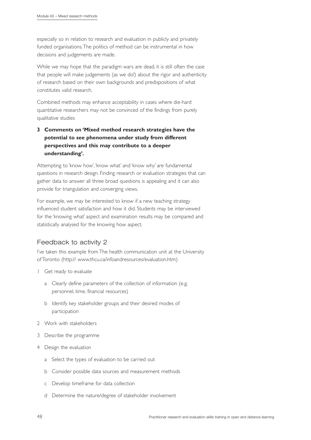especially so in relation to research and evaluation in publicly and privately funded organisations.The politics of method can be instrumental in how decisions and judgements are made.

While we may hope that the paradigm wars are dead, it is still often the case that people will make judgements (as we do!) about the rigor and authenticity of research based on their own backgrounds and predispositions of what constitutes valid research.

Combined methods may enhance acceptability in cases where die-hard quantitative researchers may not be convinced of the findings from purely qualitative studies

# **3 Comments on 'Mixed method research strategies have the potential to see phenomena under study from different perspectives and this may contribute to a deeper understanding'.**

Attempting to 'know how', 'know what' and 'know why' are fundamental questions in research design. Finding research or evaluation strategies that can gather data to answer all three broad questions is appealing and it can also provide for triangulation and converging views.

For example, we may be interested to know if a new teaching strategy influenced student satisfaction and how it did. Students may be interviewed for the 'knowing what' aspect and examination results may be compared and statistically analysed for the knowing how aspect.

# Feedback to activity 2

I've taken this example from The health communication unit at the University of Toronto (http:// www.thcu.ca/infoandresources/evaluation.htm)

- 1 Get ready to evaluate
	- a Clearly define parameters of the collection of information (e.g. personnel, time, financial resources)
	- b Identify key stakeholder groups and their desired modes of participation
- 2 Work with stakeholders
- 3 Describe the programme
- 4 Design the evaluation
	- a Select the types of evaluation to be carried out
	- b Consider possible data sources and measurement methods
	- c Develop timeframe for data collection
	- d Determine the nature/degree of stakeholder involvement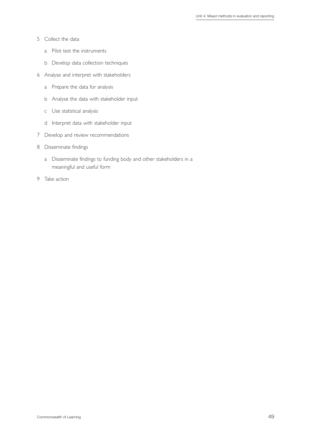- 5 Collect the data
	- a Pilot test the instruments
	- b Develop data collection techniques
- 6 Analyse and interpret with stakeholders
	- a Prepare the data for analysis
	- b Analyse the data with stakeholder input
	- c Use statistical analysis
	- d Interpret data with stakeholder input
- 7 Develop and review recommendations
- 8 Disseminate findings
	- a Disseminate findings to funding body and other stakeholders in a meaningful and useful form
- 9 Take action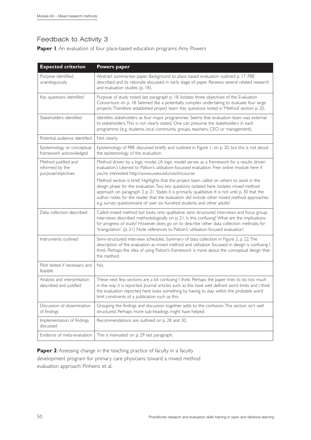# Feedback to Activity 3

**Paper I:** An evaluation of four place-based education programs: Amy Powers

| <b>Expected criterion</b>                                     | Powers paper                                                                                                                                                                                                                                                                                                                                                                                                                                                         |
|---------------------------------------------------------------|----------------------------------------------------------------------------------------------------------------------------------------------------------------------------------------------------------------------------------------------------------------------------------------------------------------------------------------------------------------------------------------------------------------------------------------------------------------------|
| Purpose identified<br>unambiguously                           | Abstract summarises paper. Background to place based evaluation outlined p. 17. PBE<br>described and its rationale discussed in early stage of paper. Reviews several related research<br>and evaluation studies (p. 18).                                                                                                                                                                                                                                            |
| Key questions identified                                      | Purpose of study noted last paragraph p. 18. Isolates three objectives of the Evaluation<br>Consortium on p. 18. Seemed like a potentially complex undertaking to evaluate four large<br>projects. Therefore established project team. Key questions noted in 'Method' section p. 20.                                                                                                                                                                                |
| Stakeholders identified                                       | Identifies stakeholders as four major programmes. Seems that evaluation team was external<br>to stakeholders. This is not clearly stated. One can presume the stakeholders in each<br>programme (e.g. students, local community groups, teachers, CEO or management).                                                                                                                                                                                                |
| Potential audience identified                                 | Not clearly.                                                                                                                                                                                                                                                                                                                                                                                                                                                         |
| Epistemology or conceptual<br>framework acknowledged          | Epistemology of PBE discussed briefly and outlined in Figure 1, on p. 20. but this is not about<br>the epistemology of the evaluation.                                                                                                                                                                                                                                                                                                                               |
| Method justified and<br>informed by the<br>purpose/objectives | Method driven by a logic model. (A logic model serves as a framework for a results driven<br>evaluation.) Likened to Patton's utilisation-focussed evaluation. Free online module here if<br>you're interested: http://www.uwex.edu/ces/lmcourse                                                                                                                                                                                                                     |
|                                                               | Method section is brief. Highlights that the project team called on others to assist in the<br>design phase for the evaluation. Two key questions isolated here. Isolates mixed method<br>approach on paragraph 2 p. 21. States it is primarily qualitative. It is not until p. 30 that the<br>author notes for the reader that the evaluation did include other mixed method approaches<br>e.g. survey questionnaire of over six hundred students and other adults! |
| Data collection described                                     | Called mixed method but looks only qualitative: semi structured interviews and focus group<br>interviews described methodologically on p. 21. Is this confusing? What are the implications<br>for progress of study? However, does go on to describe 'other data collection methods; for<br>'triangulation'. (p. 21) Note references to Patton's 'utilisation-focused evaluation'.                                                                                   |
| Instruments outlined                                          | Semi-structured interview schedules. Summary of data collection in Figure 2, p. 22. The<br>description of the evaluation as mixed method and utilisation focussed in design is confusing I<br>think. Perhaps the idea of using Patton's framework is more about the conceptual design than<br>the method.                                                                                                                                                            |
| Pilot tested if necessary and<br>feasible                     | No.                                                                                                                                                                                                                                                                                                                                                                                                                                                                  |
| Analysis and interpretation<br>described and justified        | These next few sections are a bit confusing I think. Perhaps the paper tries to do too much<br>in the way it is reported. Journal articles such as this have well defined word limits and I think<br>the evaluation reported here loses something by having to stay within the probable word<br>limit constraints of a publication such as this.                                                                                                                     |
| Discussion of dissemination<br>of findings                    | Grouping the findings and discussion together adds to the confusion. This section isn't well<br>structured. Perhaps more sub-headings might have helped.                                                                                                                                                                                                                                                                                                             |
| Implementation of findings<br>discussed                       | Recommendations are outlined on p. 28 and 30.                                                                                                                                                                                                                                                                                                                                                                                                                        |
| Evidence of meta-evaluation                                   | This is insinuated on p. 29 last paragraph.                                                                                                                                                                                                                                                                                                                                                                                                                          |

**Paper 2**: Assessing change in the teaching practice of faculty in a faculty development program for primary care physicians: toward a mixed method evaluation approach: Pinheiro et al.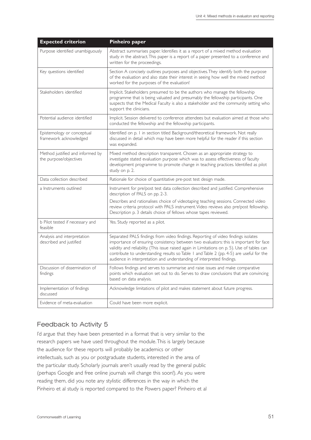| <b>Expected criterion</b>                                  | <b>Pinheiro paper</b>                                                                                                                                                                                                                                                                                                                                                                                                                           |
|------------------------------------------------------------|-------------------------------------------------------------------------------------------------------------------------------------------------------------------------------------------------------------------------------------------------------------------------------------------------------------------------------------------------------------------------------------------------------------------------------------------------|
| Purpose identified unambiguously                           | Abstract summarises paper. Identifies it as a report of a mixed method evaluation<br>study in the abstract. This paper is a report of a paper presented to a conference and<br>written for the proceedings.                                                                                                                                                                                                                                     |
| Key questions identified                                   | Section A concisely outlines purposes and objectives. They identify both the purpose<br>of the evaluation and also state their interest in seeing how well the mixed method<br>worked for the purposes of the evaluation!                                                                                                                                                                                                                       |
| Stakeholders identified                                    | Implicit. Stakeholders presumed to be the authors who manage the fellowship<br>programme that is being valuated and presumably the fellowship participants. One<br>suspects that the Medical Faculty is also a stakeholder and the community setting who<br>support the clinicians.                                                                                                                                                             |
| Potential audience identified                              | Implicit. Session delivered to conference attendees but evaluation aimed at those who<br>conducted the fellowship and the fellowship participants.                                                                                                                                                                                                                                                                                              |
| Epistemology or conceptual<br>framework acknowledged       | Identified on p. I in section titled Background/theoretical framework. Not really<br>discussed in detail which may have been more helpful for the reader if this section<br>was expanded.                                                                                                                                                                                                                                                       |
| Method justified and informed by<br>the purpose/objectives | Mixed method description transparent. Chosen as an appropriate strategy to<br>investigate stated evaluation purpose which was to assess effectiveness of faculty<br>development programme to promote change in teaching practices. Identified as pilot<br>study on p. 2.                                                                                                                                                                        |
| Data collection described                                  | Rationale for choice of quantitative pre-post test design made.                                                                                                                                                                                                                                                                                                                                                                                 |
| a Instruments outlined                                     | Instrument for pre/post test data collection described and justified. Comprehensive<br>description of PALS on pp. 2-3.<br>Describes and rationalises choice of videotaping teaching sessions. Connected video<br>review criteria protocol with PALS instrument. Video reviews also pre/post fellowship.<br>Description p. 3 details choice of fellows whose tapes reviewed.                                                                     |
| b Pilot tested if necessary and<br>feasible                | Yes. Study reported as a pilot.                                                                                                                                                                                                                                                                                                                                                                                                                 |
| Analysis and interpretation<br>described and justified     | Separated PALS findings from video findings. Reporting of video findings isolates<br>importance of ensuring consistency between two evaluators: this is important for face<br>validity and reliability. (This issue raised again in Limitations on p. 5). Use of tables can<br>contribute to understanding results so Table 1 and Table 2 (pp. 4-5) are useful for the<br>audience in interpretation and understanding of interpreted findings. |
| Discussion of dissemination of<br>findings                 | Follows findings and serves to summarise and raise issues and make comparative<br>points which evaluation set out to do. Serves to draw conclusions that are convincing<br>based on data analysis.                                                                                                                                                                                                                                              |
| Implementation of findings<br>discussed                    | Acknowledge limitations of pilot and makes statement about future progress.                                                                                                                                                                                                                                                                                                                                                                     |
| Evidence of meta-evaluation                                | Could have been more explicit.                                                                                                                                                                                                                                                                                                                                                                                                                  |

# Feedback to Activity 5

I'd argue that they have been presented in a format that is very similar to the research papers we have used throughout the module.This is largely because the audience for these reports will probably be academics or other intellectuals, such as you or postgraduate students, interested in the area of the particular study. Scholarly journals aren't usually read by the general public (perhaps Google and free online journals will change this soon!). As you were reading them, did you note any stylistic differences in the way in which the Pinheiro et al study is reported compared to the Powers paper? Pinheiro et al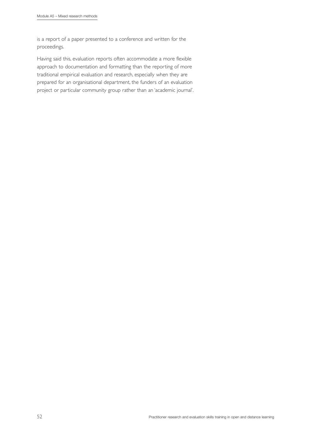is a report of a paper presented to a conference and written for the proceedings.

Having said this, evaluation reports often accommodate a more flexible approach to documentation and formatting than the reporting of more traditional empirical evaluation and research, especially when they are prepared for an organisational department, the funders of an evaluation project or particular community group rather than an 'academic journal'.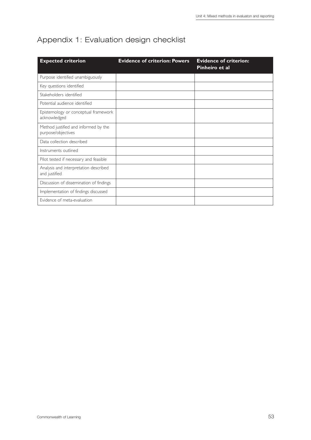# Appendix 1: Evaluation design checklist

| <b>Expected criterion</b>                                  | <b>Evidence of criterion: Powers</b> | <b>Evidence of criterion:</b><br>Pinheiro et al |
|------------------------------------------------------------|--------------------------------------|-------------------------------------------------|
| Purpose identified unambiguously                           |                                      |                                                 |
| Key questions identified                                   |                                      |                                                 |
| Stakeholders identified                                    |                                      |                                                 |
| Potential audience identified                              |                                      |                                                 |
| Epistemology or conceptual framework<br>acknowledged       |                                      |                                                 |
| Method justified and informed by the<br>purpose/objectives |                                      |                                                 |
| Data collection described                                  |                                      |                                                 |
| Instruments outlined                                       |                                      |                                                 |
| Pilot tested if necessary and feasible                     |                                      |                                                 |
| Analysis and interpretation described<br>and justified     |                                      |                                                 |
| Discussion of dissemination of findings                    |                                      |                                                 |
| Implementation of findings discussed                       |                                      |                                                 |
| Evidence of meta-evaluation                                |                                      |                                                 |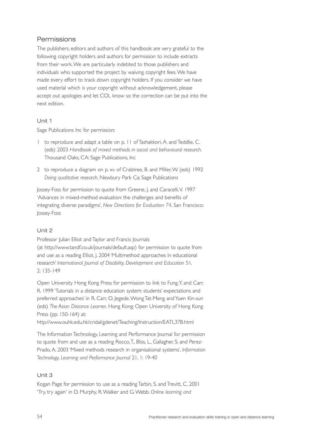# Permissions

The publishers, editors and authors of this handbook are very grateful to the following copyright holders and authors for permission to include extracts from their work.We are particularly indebted to those publishers and individuals who supported the project by waiving copyright fees.We have made every effort to track down copyright holders. If you consider we have used material which is your copyright without acknowledgement, please accept out apologies and let COL know so the correction can be put into the next edition.

# Unit 1

Sage Publications Inc for permission:

- 1 to reproduce and adapt a table on p. 11 of Tashakkori, A. and Teddlie, C. (eds) 2003 *Handbook of mixed methods in social and behavioural research*. Thousand Oaks, CA: Sage Publications, Inc
- 2 to reproduce a diagram on p. xv of Crabtree, B. and Miller, W. (eds) 1992 *Doing qualitative research*, Newbury Park Ca: Sage Publications

Jossey-Foss for permission to quote from Greene, J. and Caracelli,V. 1997 'Advances in mixed-method evaluation: the challenges and benefits of integrating diverse paradigms', *New Directions for Evaluation 74*, San Francisco: Jossey-Foss

# Unit 2

Professor Julian Elliot and Taylor and Francis Journals (at http://www.tandf.co.uk/journals/default.asp) for permission to quote from and use as a reading Elliot, J. 2004 'Multimethod approaches in educational research' *International Journal of Disability, Development and Education* 51*,* 2: 135-149

Open University Hong Kong Press for permission to link to Fung,Y. and Carr, R. 1999 'Tutorials in a distance education system: students' expectations and preferred approaches' in R. Carr, O. Jegede,Wong Tat-Meng and Yuen Kin-sun (eds) *The Asian Distance Learner*, Hong Kong: Open University of Hong Kong Press (pp. 150-164) at:

http://www.ouhk.edu.hk/cridal/gdenet/Teaching/Instruction/EATL37B.html

The Information Technology, Learning and Performance Journal for permission to quote from and use as a reading Rocco,T., Bliss, L., Gallagher, S. and Perez-Prado, A. 2003 'Mixed methods research in organisational systems', *Information Technology, Learning and Performance Journal* 21, 1: 19-40

# Unit 3

Kogan Page for permission to use as a reading Tarbin, S. and Trevitt, C. 2001 'Try, try again' in D. Murphy, R.Walker and G.Webb. *Online learning and*